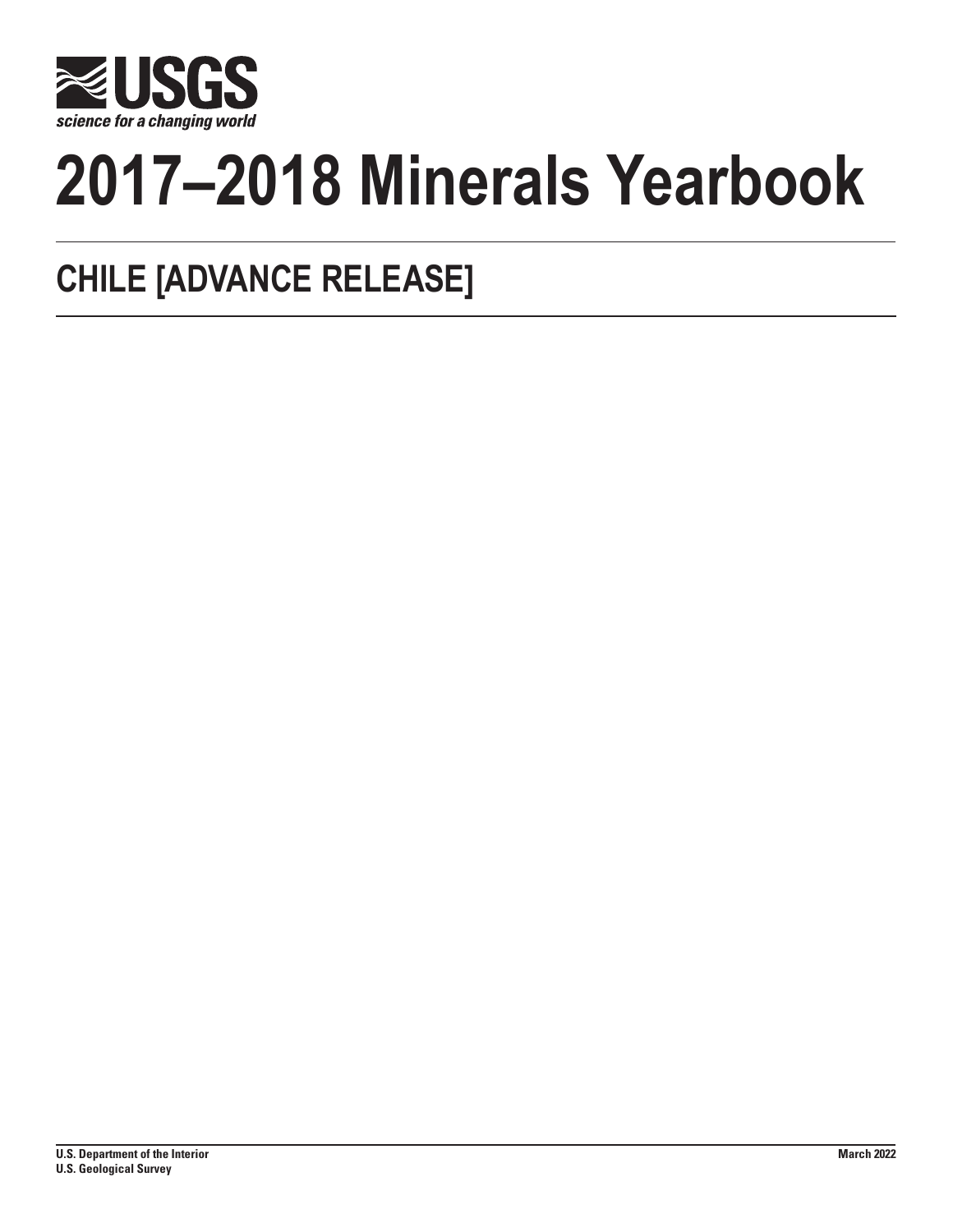

# **2017–2018 Minerals Yearbook**

## **CHILE [ADVANCE RELEASE]**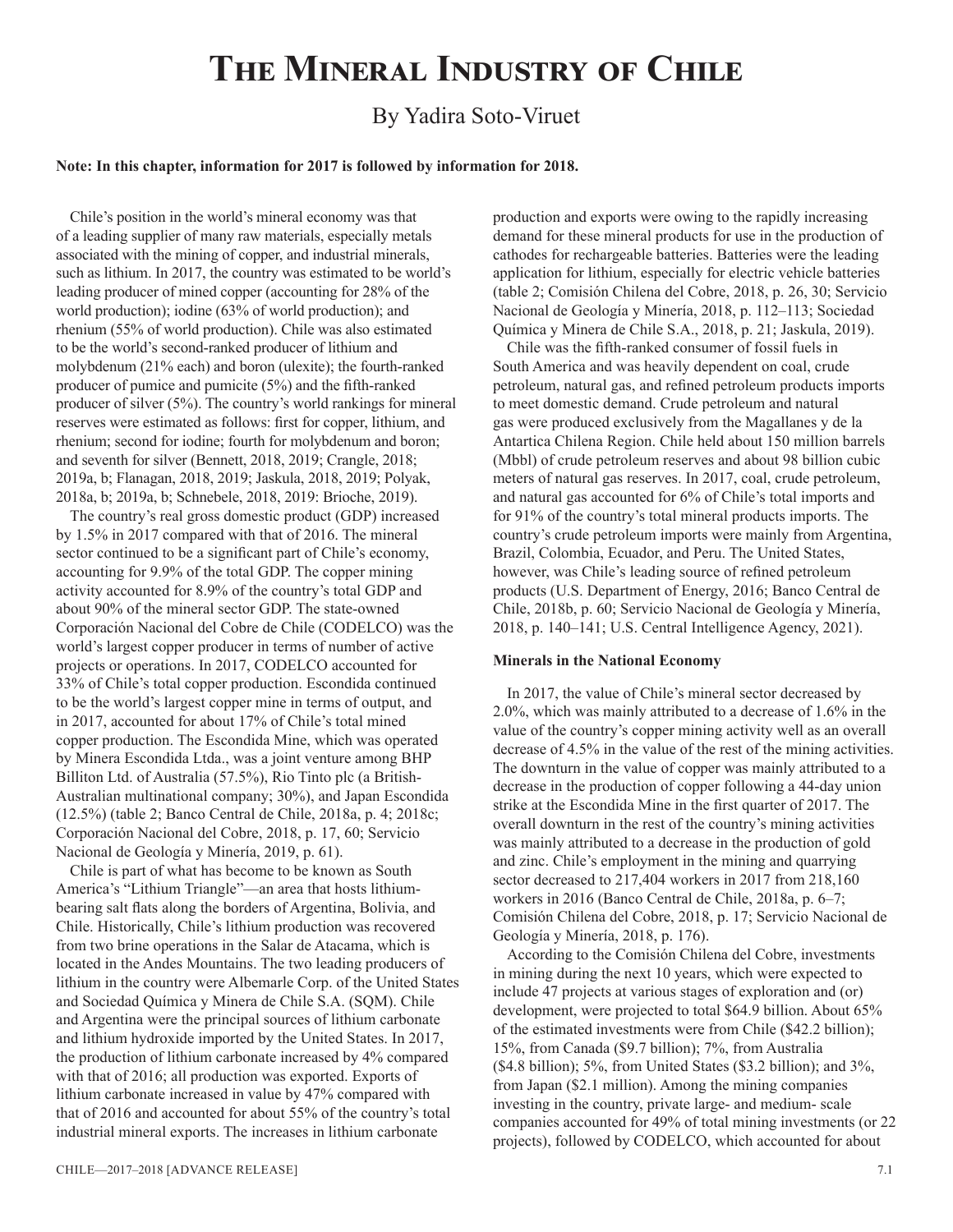### **The Mineral Industry of Chile**

#### By Yadira Soto-Viruet

#### **Note: In this chapter, information for 2017 is followed by information for 2018.**

Chile's position in the world's mineral economy was that of a leading supplier of many raw materials, especially metals associated with the mining of copper, and industrial minerals, such as lithium. In 2017, the country was estimated to be world's leading producer of mined copper (accounting for 28% of the world production); iodine (63% of world production); and rhenium (55% of world production). Chile was also estimated to be the world's second-ranked producer of lithium and molybdenum (21% each) and boron (ulexite); the fourth-ranked producer of pumice and pumicite (5%) and the fifth-ranked producer of silver (5%). The country's world rankings for mineral reserves were estimated as follows: first for copper, lithium, and rhenium; second for iodine; fourth for molybdenum and boron; and seventh for silver (Bennett, 2018, 2019; Crangle, 2018; 2019a, b; Flanagan, 2018, 2019; Jaskula, 2018, 2019; Polyak, 2018a, b; 2019a, b; Schnebele, 2018, 2019: Brioche, 2019).

The country's real gross domestic product (GDP) increased by 1.5% in 2017 compared with that of 2016. The mineral sector continued to be a significant part of Chile's economy, accounting for 9.9% of the total GDP. The copper mining activity accounted for 8.9% of the country's total GDP and about 90% of the mineral sector GDP. The state-owned Corporación Nacional del Cobre de Chile (CODELCO) was the world's largest copper producer in terms of number of active projects or operations. In 2017, CODELCO accounted for 33% of Chile's total copper production. Escondida continued to be the world's largest copper mine in terms of output, and in 2017, accounted for about 17% of Chile's total mined copper production. The Escondida Mine, which was operated by Minera Escondida Ltda., was a joint venture among BHP Billiton Ltd. of Australia (57.5%), Rio Tinto plc (a British-Australian multinational company; 30%), and Japan Escondida (12.5%) (table 2; Banco Central de Chile, 2018a, p. 4; 2018c; Corporación Nacional del Cobre, 2018, p. 17, 60; Servicio Nacional de Geología y Minería, 2019, p. 61).

Chile is part of what has become to be known as South America's "Lithium Triangle"—an area that hosts lithiumbearing salt flats along the borders of Argentina, Bolivia, and Chile. Historically, Chile's lithium production was recovered from two brine operations in the Salar de Atacama, which is located in the Andes Mountains. The two leading producers of lithium in the country were Albemarle Corp. of the United States and Sociedad Química y Minera de Chile S.A. (SQM). Chile and Argentina were the principal sources of lithium carbonate and lithium hydroxide imported by the United States. In 2017, the production of lithium carbonate increased by 4% compared with that of 2016; all production was exported. Exports of lithium carbonate increased in value by 47% compared with that of 2016 and accounted for about 55% of the country's total industrial mineral exports. The increases in lithium carbonate

chile—2017–2018 [ADVANCE RELEASE] 7.1

production and exports were owing to the rapidly increasing demand for these mineral products for use in the production of cathodes for rechargeable batteries. Batteries were the leading application for lithium, especially for electric vehicle batteries (table 2; Comisión Chilena del Cobre, 2018, p. 26, 30; Servicio Nacional de Geología y Minería, 2018, p. 112–113; Sociedad Química y Minera de Chile S.A., 2018, p. 21; Jaskula, 2019).

Chile was the fifth-ranked consumer of fossil fuels in South America and was heavily dependent on coal, crude petroleum, natural gas, and refined petroleum products imports to meet domestic demand. Crude petroleum and natural gas were produced exclusively from the Magallanes y de la Antartica Chilena Region. Chile held about 150 million barrels (Mbbl) of crude petroleum reserves and about 98 billion cubic meters of natural gas reserves. In 2017, coal, crude petroleum, and natural gas accounted for 6% of Chile's total imports and for 91% of the country's total mineral products imports. The country's crude petroleum imports were mainly from Argentina, Brazil, Colombia, Ecuador, and Peru. The United States, however, was Chile's leading source of refined petroleum products (U.S. Department of Energy, 2016; Banco Central de Chile, 2018b, p. 60; Servicio Nacional de Geología y Minería, 2018, p. 140–141; U.S. Central Intelligence Agency, 2021).

#### **Minerals in the National Economy**

In 2017, the value of Chile's mineral sector decreased by 2.0%, which was mainly attributed to a decrease of 1.6% in the value of the country's copper mining activity well as an overall decrease of 4.5% in the value of the rest of the mining activities. The downturn in the value of copper was mainly attributed to a decrease in the production of copper following a 44-day union strike at the Escondida Mine in the first quarter of 2017. The overall downturn in the rest of the country's mining activities was mainly attributed to a decrease in the production of gold and zinc. Chile's employment in the mining and quarrying sector decreased to 217,404 workers in 2017 from 218,160 workers in 2016 (Banco Central de Chile, 2018a, p. 6–7; Comisión Chilena del Cobre, 2018, p. 17; Servicio Nacional de Geología y Minería, 2018, p. 176).

According to the Comisión Chilena del Cobre, investments in mining during the next 10 years, which were expected to include 47 projects at various stages of exploration and (or) development, were projected to total \$64.9 billion. About 65% of the estimated investments were from Chile (\$42.2 billion); 15%, from Canada (\$9.7 billion); 7%, from Australia (\$4.8 billion); 5%, from United States (\$3.2 billion); and 3%, from Japan (\$2.1 million). Among the mining companies investing in the country, private large- and medium- scale companies accounted for 49% of total mining investments (or 22 projects), followed by CODELCO, which accounted for about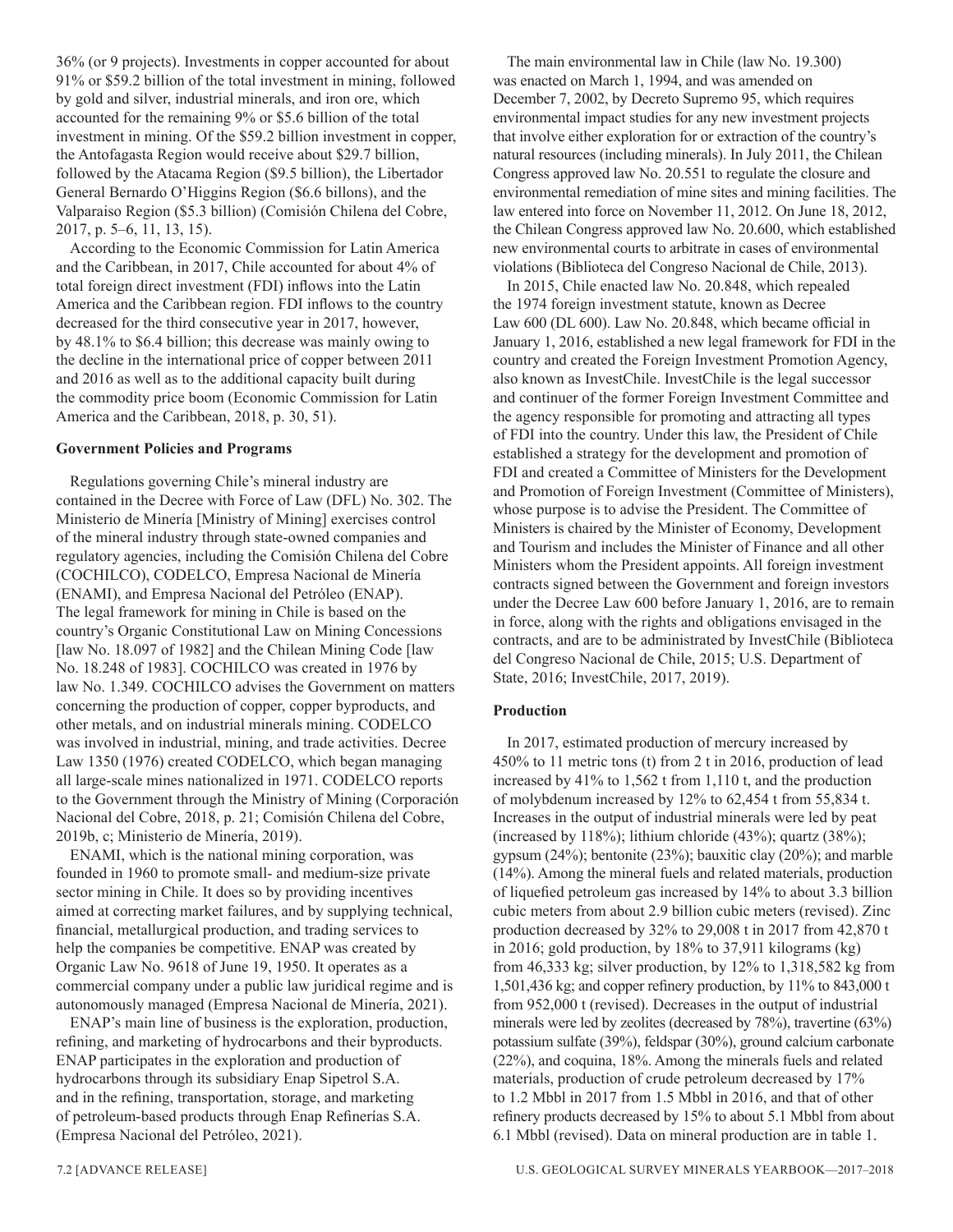36% (or 9 projects). Investments in copper accounted for about 91% or \$59.2 billion of the total investment in mining, followed by gold and silver, industrial minerals, and iron ore, which accounted for the remaining 9% or \$5.6 billion of the total investment in mining. Of the \$59.2 billion investment in copper, the Antofagasta Region would receive about \$29.7 billion, followed by the Atacama Region (\$9.5 billion), the Libertador General Bernardo O'Higgins Region (\$6.6 billons), and the Valparaiso Region (\$5.3 billion) (Comisión Chilena del Cobre, 2017, p. 5–6, 11, 13, 15).

According to the Economic Commission for Latin America and the Caribbean, in 2017, Chile accounted for about 4% of total foreign direct investment (FDI) inflows into the Latin America and the Caribbean region. FDI inflows to the country decreased for the third consecutive year in 2017, however, by 48.1% to \$6.4 billion; this decrease was mainly owing to the decline in the international price of copper between 2011 and 2016 as well as to the additional capacity built during the commodity price boom (Economic Commission for Latin America and the Caribbean, 2018, p. 30, 51).

#### **Government Policies and Programs**

Regulations governing Chile's mineral industry are contained in the Decree with Force of Law (DFL) No. 302. The Ministerio de Minería [Ministry of Mining] exercises control of the mineral industry through state-owned companies and regulatory agencies, including the Comisión Chilena del Cobre (COCHILCO), CODELCO, Empresa Nacional de Minería (ENAMI), and Empresa Nacional del Petróleo (ENAP). The legal framework for mining in Chile is based on the country's Organic Constitutional Law on Mining Concessions [law No. 18.097 of 1982] and the Chilean Mining Code [law No. 18.248 of 1983]. COCHILCO was created in 1976 by law No. 1.349. COCHILCO advises the Government on matters concerning the production of copper, copper byproducts, and other metals, and on industrial minerals mining. CODELCO was involved in industrial, mining, and trade activities. Decree Law 1350 (1976) created CODELCO, which began managing all large-scale mines nationalized in 1971. CODELCO reports to the Government through the Ministry of Mining (Corporación Nacional del Cobre, 2018, p. 21; Comisión Chilena del Cobre, 2019b, c; Ministerio de Minería, 2019).

ENAMI, which is the national mining corporation, was founded in 1960 to promote small- and medium-size private sector mining in Chile. It does so by providing incentives aimed at correcting market failures, and by supplying technical, financial, metallurgical production, and trading services to help the companies be competitive. ENAP was created by Organic Law No. 9618 of June 19, 1950. It operates as a commercial company under a public law juridical regime and is autonomously managed (Empresa Nacional de Minería, 2021).

ENAP's main line of business is the exploration, production, refining, and marketing of hydrocarbons and their byproducts. ENAP participates in the exploration and production of hydrocarbons through its subsidiary Enap Sipetrol S.A. and in the refining, transportation, storage, and marketing of petroleum-based products through Enap Refinerías S.A. (Empresa Nacional del Petróleo, 2021).

The main environmental law in Chile (law No. 19.300) was enacted on March 1, 1994, and was amended on December 7, 2002, by Decreto Supremo 95, which requires environmental impact studies for any new investment projects that involve either exploration for or extraction of the country's natural resources (including minerals). In July 2011, the Chilean Congress approved law No. 20.551 to regulate the closure and environmental remediation of mine sites and mining facilities. The law entered into force on November 11, 2012. On June 18, 2012, the Chilean Congress approved law No. 20.600, which established new environmental courts to arbitrate in cases of environmental violations (Biblioteca del Congreso Nacional de Chile, 2013).

In 2015, Chile enacted law No. 20.848, which repealed the 1974 foreign investment statute, known as Decree Law 600 (DL 600). Law No. 20.848, which became official in January 1, 2016, established a new legal framework for FDI in the country and created the Foreign Investment Promotion Agency, also known as InvestChile. InvestChile is the legal successor and continuer of the former Foreign Investment Committee and the agency responsible for promoting and attracting all types of FDI into the country. Under this law, the President of Chile established a strategy for the development and promotion of FDI and created a Committee of Ministers for the Development and Promotion of Foreign Investment (Committee of Ministers), whose purpose is to advise the President. The Committee of Ministers is chaired by the Minister of Economy, Development and Tourism and includes the Minister of Finance and all other Ministers whom the President appoints. All foreign investment contracts signed between the Government and foreign investors under the Decree Law 600 before January 1, 2016, are to remain in force, along with the rights and obligations envisaged in the contracts, and are to be administrated by InvestChile (Biblioteca del Congreso Nacional de Chile, 2015; U.S. Department of State, 2016; InvestChile, 2017, 2019).

#### **Production**

In 2017, estimated production of mercury increased by 450% to 11 metric tons (t) from 2 t in 2016, production of lead increased by 41% to 1,562 t from 1,110 t, and the production of molybdenum increased by 12% to 62,454 t from 55,834 t. Increases in the output of industrial minerals were led by peat (increased by 118%); lithium chloride (43%); quartz (38%); gypsum (24%); bentonite (23%); bauxitic clay (20%); and marble (14%). Among the mineral fuels and related materials, production of liquefied petroleum gas increased by 14% to about 3.3 billion cubic meters from about 2.9 billion cubic meters (revised). Zinc production decreased by 32% to 29,008 t in 2017 from 42,870 t in 2016; gold production, by 18% to 37,911 kilograms (kg) from 46,333 kg; silver production, by 12% to 1,318,582 kg from 1,501,436 kg; and copper refinery production, by 11% to 843,000 t from 952,000 t (revised). Decreases in the output of industrial minerals were led by zeolites (decreased by 78%), travertine (63%) potassium sulfate (39%), feldspar (30%), ground calcium carbonate (22%), and coquina, 18%. Among the minerals fuels and related materials, production of crude petroleum decreased by 17% to 1.2 Mbbl in 2017 from 1.5 Mbbl in 2016, and that of other refinery products decreased by 15% to about 5.1 Mbbl from about 6.1 Mbbl (revised). Data on mineral production are in table 1.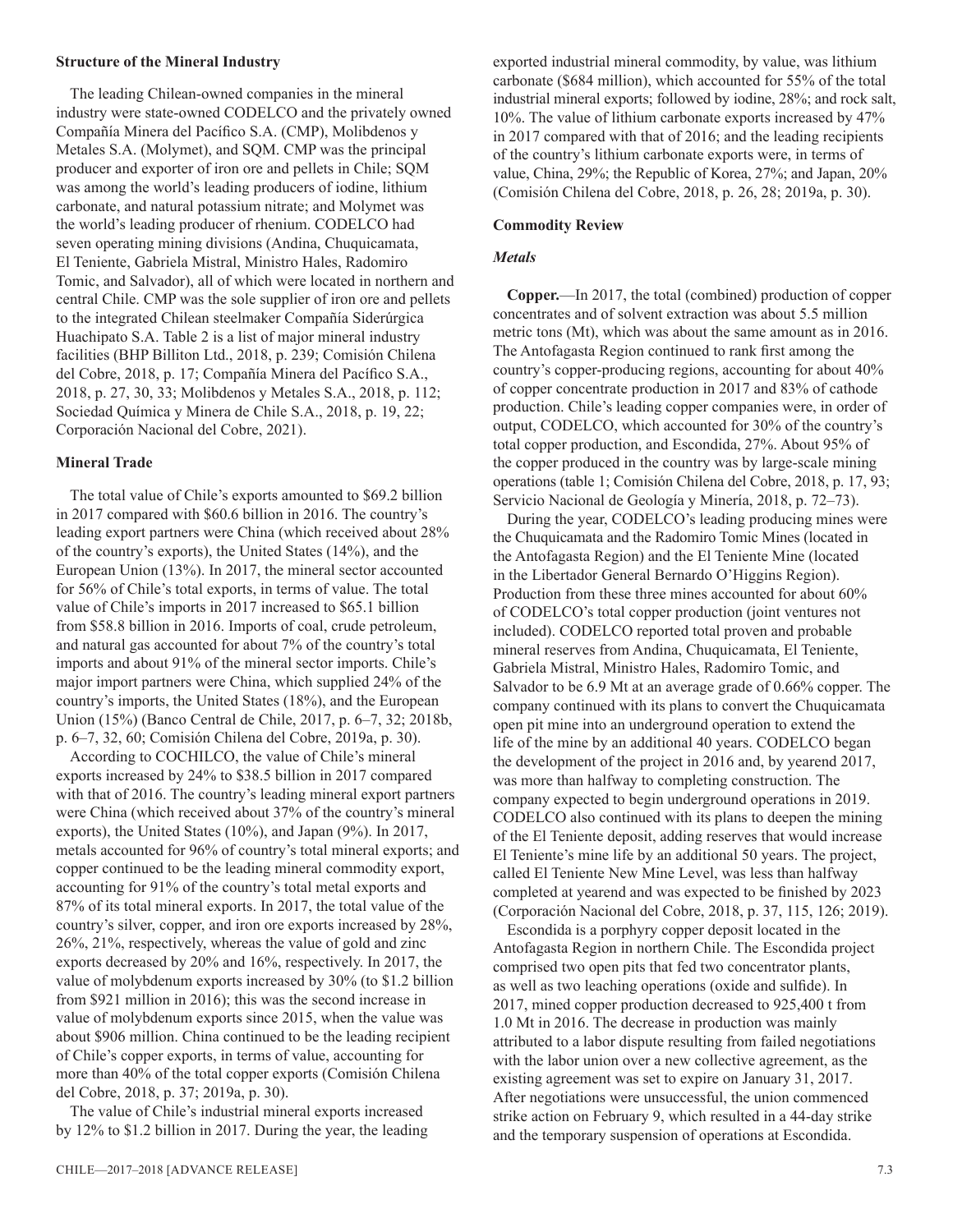#### **Structure of the Mineral Industry**

The leading Chilean-owned companies in the mineral industry were state-owned CODELCO and the privately owned Compañía Minera del Pacífico S.A. (CMP), Molibdenos y Metales S.A. (Molymet), and SQM. CMP was the principal producer and exporter of iron ore and pellets in Chile; SQM was among the world's leading producers of iodine, lithium carbonate, and natural potassium nitrate; and Molymet was the world's leading producer of rhenium. CODELCO had seven operating mining divisions (Andina, Chuquicamata, El Teniente, Gabriela Mistral, Ministro Hales, Radomiro Tomic, and Salvador), all of which were located in northern and central Chile. CMP was the sole supplier of iron ore and pellets to the integrated Chilean steelmaker Compañía Siderúrgica Huachipato S.A. Table 2 is a list of major mineral industry facilities (BHP Billiton Ltd., 2018, p. 239; Comisión Chilena del Cobre, 2018, p. 17; Compañía Minera del Pacífico S.A., 2018, p. 27, 30, 33; Molibdenos y Metales S.A., 2018, p. 112; Sociedad Química y Minera de Chile S.A., 2018, p. 19, 22; Corporación Nacional del Cobre, 2021).

#### **Mineral Trade**

The total value of Chile's exports amounted to \$69.2 billion in 2017 compared with \$60.6 billion in 2016. The country's leading export partners were China (which received about 28% of the country's exports), the United States (14%), and the European Union (13%). In 2017, the mineral sector accounted for 56% of Chile's total exports, in terms of value. The total value of Chile's imports in 2017 increased to \$65.1 billion from \$58.8 billion in 2016. Imports of coal, crude petroleum, and natural gas accounted for about 7% of the country's total imports and about 91% of the mineral sector imports. Chile's major import partners were China, which supplied 24% of the country's imports, the United States (18%), and the European Union (15%) (Banco Central de Chile, 2017, p. 6–7, 32; 2018b, p. 6–7, 32, 60; Comisión Chilena del Cobre, 2019a, p. 30).

According to COCHILCO, the value of Chile's mineral exports increased by 24% to \$38.5 billion in 2017 compared with that of 2016. The country's leading mineral export partners were China (which received about 37% of the country's mineral exports), the United States (10%), and Japan (9%). In 2017, metals accounted for 96% of country's total mineral exports; and copper continued to be the leading mineral commodity export, accounting for 91% of the country's total metal exports and 87% of its total mineral exports. In 2017, the total value of the country's silver, copper, and iron ore exports increased by 28%, 26%, 21%, respectively, whereas the value of gold and zinc exports decreased by 20% and 16%, respectively. In 2017, the value of molybdenum exports increased by 30% (to \$1.2 billion from \$921 million in 2016); this was the second increase in value of molybdenum exports since 2015, when the value was about \$906 million. China continued to be the leading recipient of Chile's copper exports, in terms of value, accounting for more than 40% of the total copper exports (Comisión Chilena del Cobre, 2018, p. 37; 2019a, p. 30).

The value of Chile's industrial mineral exports increased by 12% to \$1.2 billion in 2017. During the year, the leading exported industrial mineral commodity, by value, was lithium carbonate (\$684 million), which accounted for 55% of the total industrial mineral exports; followed by iodine, 28%; and rock salt, 10%. The value of lithium carbonate exports increased by 47% in 2017 compared with that of 2016; and the leading recipients of the country's lithium carbonate exports were, in terms of value, China, 29%; the Republic of Korea, 27%; and Japan, 20% (Comisión Chilena del Cobre, 2018, p. 26, 28; 2019a, p. 30).

#### **Commodity Review**

#### *Metals*

**Copper.**—In 2017, the total (combined) production of copper concentrates and of solvent extraction was about 5.5 million metric tons (Mt), which was about the same amount as in 2016. The Antofagasta Region continued to rank first among the country's copper-producing regions, accounting for about 40% of copper concentrate production in 2017 and 83% of cathode production. Chile's leading copper companies were, in order of output, CODELCO, which accounted for 30% of the country's total copper production, and Escondida, 27%. About 95% of the copper produced in the country was by large-scale mining operations (table 1; Comisión Chilena del Cobre, 2018, p. 17, 93; Servicio Nacional de Geología y Minería, 2018, p. 72–73).

During the year, CODELCO's leading producing mines were the Chuquicamata and the Radomiro Tomic Mines (located in the Antofagasta Region) and the El Teniente Mine (located in the Libertador General Bernardo O'Higgins Region). Production from these three mines accounted for about 60% of CODELCO's total copper production (joint ventures not included). CODELCO reported total proven and probable mineral reserves from Andina, Chuquicamata, El Teniente, Gabriela Mistral, Ministro Hales, Radomiro Tomic, and Salvador to be 6.9 Mt at an average grade of 0.66% copper. The company continued with its plans to convert the Chuquicamata open pit mine into an underground operation to extend the life of the mine by an additional 40 years. CODELCO began the development of the project in 2016 and, by yearend 2017, was more than halfway to completing construction. The company expected to begin underground operations in 2019. CODELCO also continued with its plans to deepen the mining of the El Teniente deposit, adding reserves that would increase El Teniente's mine life by an additional 50 years. The project, called El Teniente New Mine Level, was less than halfway completed at yearend and was expected to be finished by 2023 (Corporación Nacional del Cobre, 2018, p. 37, 115, 126; 2019).

Escondida is a porphyry copper deposit located in the Antofagasta Region in northern Chile. The Escondida project comprised two open pits that fed two concentrator plants, as well as two leaching operations (oxide and sulfide). In 2017, mined copper production decreased to 925,400 t from 1.0 Mt in 2016. The decrease in production was mainly attributed to a labor dispute resulting from failed negotiations with the labor union over a new collective agreement, as the existing agreement was set to expire on January 31, 2017. After negotiations were unsuccessful, the union commenced strike action on February 9, which resulted in a 44-day strike and the temporary suspension of operations at Escondida.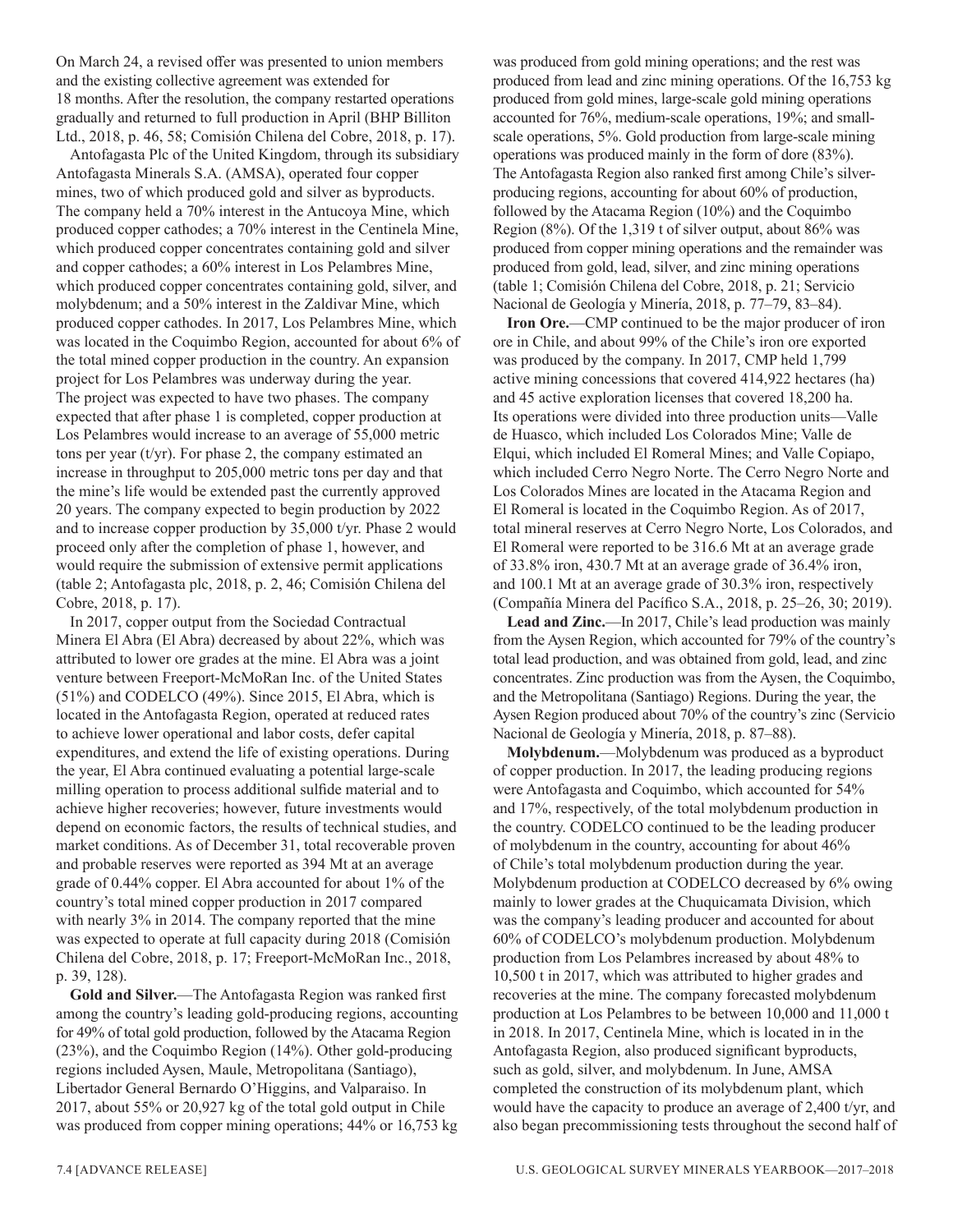On March 24, a revised offer was presented to union members and the existing collective agreement was extended for 18 months. After the resolution, the company restarted operations gradually and returned to full production in April (BHP Billiton Ltd., 2018, p. 46, 58; Comisión Chilena del Cobre, 2018, p. 17).

Antofagasta Plc of the United Kingdom, through its subsidiary Antofagasta Minerals S.A. (AMSA), operated four copper mines, two of which produced gold and silver as byproducts. The company held a 70% interest in the Antucoya Mine, which produced copper cathodes; a 70% interest in the Centinela Mine, which produced copper concentrates containing gold and silver and copper cathodes; a 60% interest in Los Pelambres Mine, which produced copper concentrates containing gold, silver, and molybdenum; and a 50% interest in the Zaldivar Mine, which produced copper cathodes. In 2017, Los Pelambres Mine, which was located in the Coquimbo Region, accounted for about 6% of the total mined copper production in the country. An expansion project for Los Pelambres was underway during the year. The project was expected to have two phases. The company expected that after phase 1 is completed, copper production at Los Pelambres would increase to an average of 55,000 metric tons per year (t/yr). For phase 2, the company estimated an increase in throughput to 205,000 metric tons per day and that the mine's life would be extended past the currently approved 20 years. The company expected to begin production by 2022 and to increase copper production by 35,000 t/yr. Phase 2 would proceed only after the completion of phase 1, however, and would require the submission of extensive permit applications (table 2; Antofagasta plc, 2018, p. 2, 46; Comisión Chilena del Cobre, 2018, p. 17).

In 2017, copper output from the Sociedad Contractual Minera El Abra (El Abra) decreased by about 22%, which was attributed to lower ore grades at the mine. El Abra was a joint venture between Freeport-McMoRan Inc. of the United States (51%) and CODELCO (49%). Since 2015, El Abra, which is located in the Antofagasta Region, operated at reduced rates to achieve lower operational and labor costs, defer capital expenditures, and extend the life of existing operations. During the year, El Abra continued evaluating a potential large-scale milling operation to process additional sulfide material and to achieve higher recoveries; however, future investments would depend on economic factors, the results of technical studies, and market conditions. As of December 31, total recoverable proven and probable reserves were reported as 394 Mt at an average grade of 0.44% copper. El Abra accounted for about 1% of the country's total mined copper production in 2017 compared with nearly 3% in 2014. The company reported that the mine was expected to operate at full capacity during 2018 (Comisión Chilena del Cobre, 2018, p. 17; Freeport-McMoRan Inc., 2018, p. 39, 128).

**Gold and Silver.**—The Antofagasta Region was ranked first among the country's leading gold-producing regions, accounting for 49% of total gold production, followed by the Atacama Region (23%), and the Coquimbo Region (14%). Other gold-producing regions included Aysen, Maule, Metropolitana (Santiago), Libertador General Bernardo O'Higgins, and Valparaiso. In 2017, about 55% or 20,927 kg of the total gold output in Chile was produced from copper mining operations; 44% or 16,753 kg was produced from gold mining operations; and the rest was produced from lead and zinc mining operations. Of the 16,753 kg produced from gold mines, large-scale gold mining operations accounted for 76%, medium-scale operations, 19%; and smallscale operations, 5%. Gold production from large-scale mining operations was produced mainly in the form of dore (83%). The Antofagasta Region also ranked first among Chile's silverproducing regions, accounting for about 60% of production, followed by the Atacama Region (10%) and the Coquimbo Region (8%). Of the 1,319 t of silver output, about 86% was produced from copper mining operations and the remainder was produced from gold, lead, silver, and zinc mining operations (table 1; Comisión Chilena del Cobre, 2018, p. 21; Servicio Nacional de Geología y Minería, 2018, p. 77–79, 83–84).

**Iron Ore.**—CMP continued to be the major producer of iron ore in Chile, and about 99% of the Chile's iron ore exported was produced by the company. In 2017, CMP held 1,799 active mining concessions that covered 414,922 hectares (ha) and 45 active exploration licenses that covered 18,200 ha. Its operations were divided into three production units—Valle de Huasco, which included Los Colorados Mine; Valle de Elqui, which included El Romeral Mines; and Valle Copiapo, which included Cerro Negro Norte. The Cerro Negro Norte and Los Colorados Mines are located in the Atacama Region and El Romeral is located in the Coquimbo Region. As of 2017, total mineral reserves at Cerro Negro Norte, Los Colorados, and El Romeral were reported to be 316.6 Mt at an average grade of 33.8% iron, 430.7 Mt at an average grade of 36.4% iron, and 100.1 Mt at an average grade of 30.3% iron, respectively (Compañía Minera del Pacífico S.A., 2018, p. 25–26, 30; 2019).

**Lead and Zinc.**—In 2017, Chile's lead production was mainly from the Aysen Region, which accounted for 79% of the country's total lead production, and was obtained from gold, lead, and zinc concentrates. Zinc production was from the Aysen, the Coquimbo, and the Metropolitana (Santiago) Regions. During the year, the Aysen Region produced about 70% of the country's zinc (Servicio Nacional de Geología y Minería, 2018, p. 87–88).

**Molybdenum.**—Molybdenum was produced as a byproduct of copper production. In 2017, the leading producing regions were Antofagasta and Coquimbo, which accounted for 54% and 17%, respectively, of the total molybdenum production in the country. CODELCO continued to be the leading producer of molybdenum in the country, accounting for about 46% of Chile's total molybdenum production during the year. Molybdenum production at CODELCO decreased by 6% owing mainly to lower grades at the Chuquicamata Division, which was the company's leading producer and accounted for about 60% of CODELCO's molybdenum production. Molybdenum production from Los Pelambres increased by about 48% to 10,500 t in 2017, which was attributed to higher grades and recoveries at the mine. The company forecasted molybdenum production at Los Pelambres to be between 10,000 and 11,000 t in 2018. In 2017, Centinela Mine, which is located in in the Antofagasta Region, also produced significant byproducts, such as gold, silver, and molybdenum. In June, AMSA completed the construction of its molybdenum plant, which would have the capacity to produce an average of 2,400 t/yr, and also began precommissioning tests throughout the second half of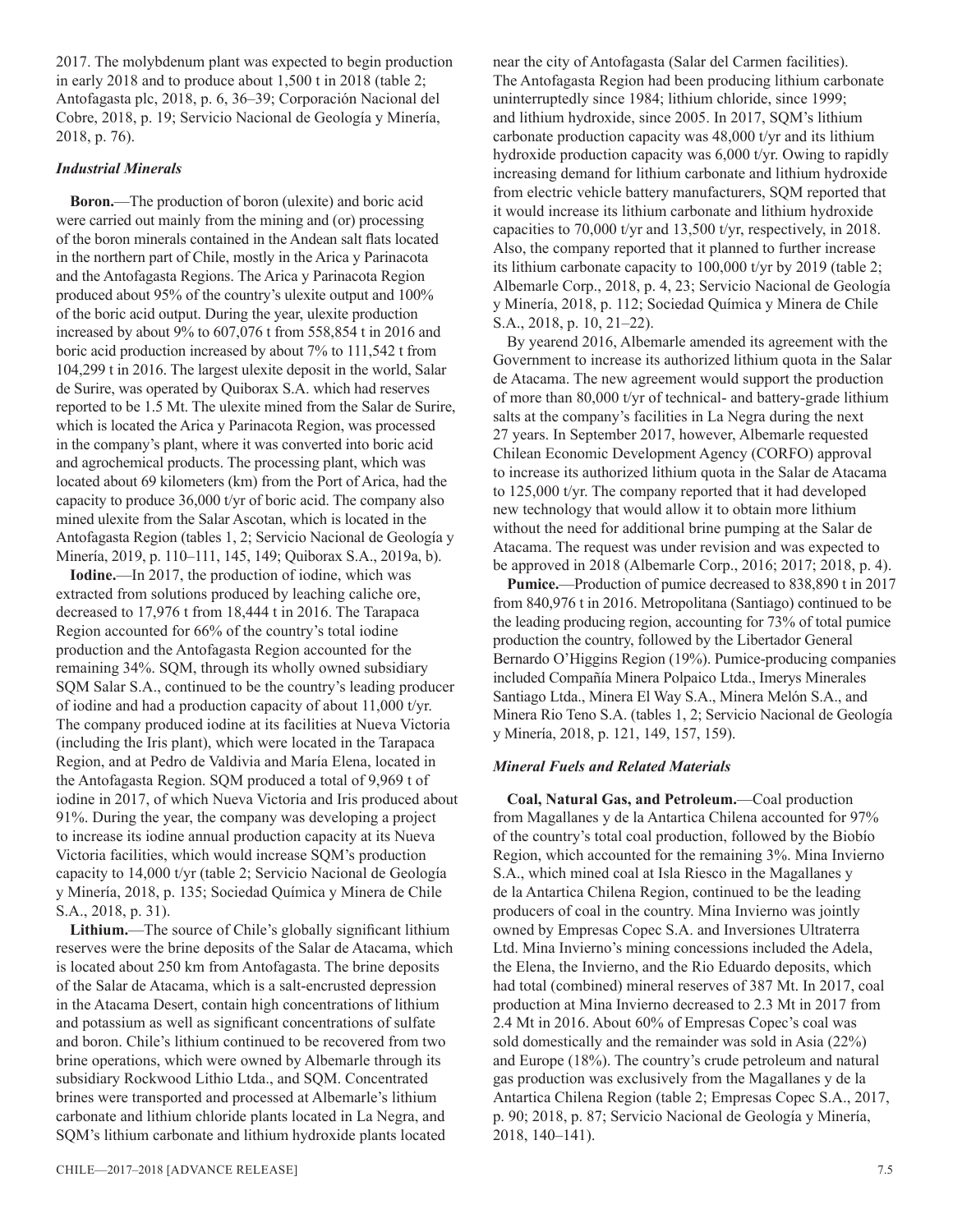2017. The molybdenum plant was expected to begin production in early 2018 and to produce about 1,500 t in 2018 (table 2; Antofagasta plc, 2018, p. 6, 36–39; Corporación Nacional del Cobre, 2018, p. 19; Servicio Nacional de Geología y Minería, 2018, p. 76).

#### *Industrial Minerals*

**Boron.**—The production of boron (ulexite) and boric acid were carried out mainly from the mining and (or) processing of the boron minerals contained in the Andean salt flats located in the northern part of Chile, mostly in the Arica y Parinacota and the Antofagasta Regions. The Arica y Parinacota Region produced about 95% of the country's ulexite output and 100% of the boric acid output. During the year, ulexite production increased by about 9% to 607,076 t from 558,854 t in 2016 and boric acid production increased by about 7% to 111,542 t from 104,299 t in 2016. The largest ulexite deposit in the world, Salar de Surire, was operated by Quiborax S.A. which had reserves reported to be 1.5 Mt. The ulexite mined from the Salar de Surire, which is located the Arica y Parinacota Region, was processed in the company's plant, where it was converted into boric acid and agrochemical products. The processing plant, which was located about 69 kilometers (km) from the Port of Arica, had the capacity to produce 36,000 t/yr of boric acid. The company also mined ulexite from the Salar Ascotan, which is located in the Antofagasta Region (tables 1, 2; Servicio Nacional de Geología y Minería, 2019, p. 110–111, 145, 149; Quiborax S.A., 2019a, b).

**Iodine.**—In 2017, the production of iodine, which was extracted from solutions produced by leaching caliche ore, decreased to 17,976 t from 18,444 t in 2016. The Tarapaca Region accounted for 66% of the country's total iodine production and the Antofagasta Region accounted for the remaining 34%. SQM, through its wholly owned subsidiary SQM Salar S.A., continued to be the country's leading producer of iodine and had a production capacity of about 11,000 t/yr. The company produced iodine at its facilities at Nueva Victoria (including the Iris plant), which were located in the Tarapaca Region, and at Pedro de Valdivia and María Elena, located in the Antofagasta Region. SQM produced a total of 9,969 t of iodine in 2017, of which Nueva Victoria and Iris produced about 91%. During the year, the company was developing a project to increase its iodine annual production capacity at its Nueva Victoria facilities, which would increase SQM's production capacity to 14,000 t/yr (table 2; Servicio Nacional de Geología y Minería, 2018, p. 135; Sociedad Química y Minera de Chile S.A., 2018, p. 31).

**Lithium.**—The source of Chile's globally significant lithium reserves were the brine deposits of the Salar de Atacama, which is located about 250 km from Antofagasta. The brine deposits of the Salar de Atacama, which is a salt-encrusted depression in the Atacama Desert, contain high concentrations of lithium and potassium as well as significant concentrations of sulfate and boron. Chile's lithium continued to be recovered from two brine operations, which were owned by Albemarle through its subsidiary Rockwood Lithio Ltda., and SQM. Concentrated brines were transported and processed at Albemarle's lithium carbonate and lithium chloride plants located in La Negra, and SQM's lithium carbonate and lithium hydroxide plants located

near the city of Antofagasta (Salar del Carmen facilities). The Antofagasta Region had been producing lithium carbonate uninterruptedly since 1984; lithium chloride, since 1999; and lithium hydroxide, since 2005. In 2017, SQM's lithium carbonate production capacity was 48,000 t/yr and its lithium hydroxide production capacity was 6,000 t/yr. Owing to rapidly increasing demand for lithium carbonate and lithium hydroxide from electric vehicle battery manufacturers, SQM reported that it would increase its lithium carbonate and lithium hydroxide capacities to 70,000 t/yr and 13,500 t/yr, respectively, in 2018. Also, the company reported that it planned to further increase its lithium carbonate capacity to 100,000 t/yr by 2019 (table 2; Albemarle Corp., 2018, p. 4, 23; Servicio Nacional de Geología y Minería, 2018, p. 112; Sociedad Química y Minera de Chile S.A., 2018, p. 10, 21–22).

By yearend 2016, Albemarle amended its agreement with the Government to increase its authorized lithium quota in the Salar de Atacama. The new agreement would support the production of more than 80,000 t/yr of technical- and battery-grade lithium salts at the company's facilities in La Negra during the next 27 years. In September 2017, however, Albemarle requested Chilean Economic Development Agency (CORFO) approval to increase its authorized lithium quota in the Salar de Atacama to 125,000 t/yr. The company reported that it had developed new technology that would allow it to obtain more lithium without the need for additional brine pumping at the Salar de Atacama. The request was under revision and was expected to be approved in 2018 (Albemarle Corp., 2016; 2017; 2018, p. 4).

**Pumice.**—Production of pumice decreased to 838,890 t in 2017 from 840,976 t in 2016. Metropolitana (Santiago) continued to be the leading producing region, accounting for 73% of total pumice production the country, followed by the Libertador General Bernardo O'Higgins Region (19%). Pumice-producing companies included Compañía Minera Polpaico Ltda., Imerys Minerales Santiago Ltda., Minera El Way S.A., Minera Melón S.A., and Minera Rio Teno S.A. (tables 1, 2; Servicio Nacional de Geología y Minería, 2018, p. 121, 149, 157, 159).

#### *Mineral Fuels and Related Materials*

**Coal, Natural Gas, and Petroleum.**—Coal production from Magallanes y de la Antartica Chilena accounted for 97% of the country's total coal production, followed by the Biobío Region, which accounted for the remaining 3%. Mina Invierno S.A., which mined coal at Isla Riesco in the Magallanes y de la Antartica Chilena Region, continued to be the leading producers of coal in the country. Mina Invierno was jointly owned by Empresas Copec S.A. and Inversiones Ultraterra Ltd. Mina Invierno's mining concessions included the Adela, the Elena, the Invierno, and the Rio Eduardo deposits, which had total (combined) mineral reserves of 387 Mt. In 2017, coal production at Mina Invierno decreased to 2.3 Mt in 2017 from 2.4 Mt in 2016. About 60% of Empresas Copec's coal was sold domestically and the remainder was sold in Asia (22%) and Europe (18%). The country's crude petroleum and natural gas production was exclusively from the Magallanes y de la Antartica Chilena Region (table 2; Empresas Copec S.A., 2017, p. 90; 2018, p. 87; Servicio Nacional de Geología y Minería, 2018, 140–141).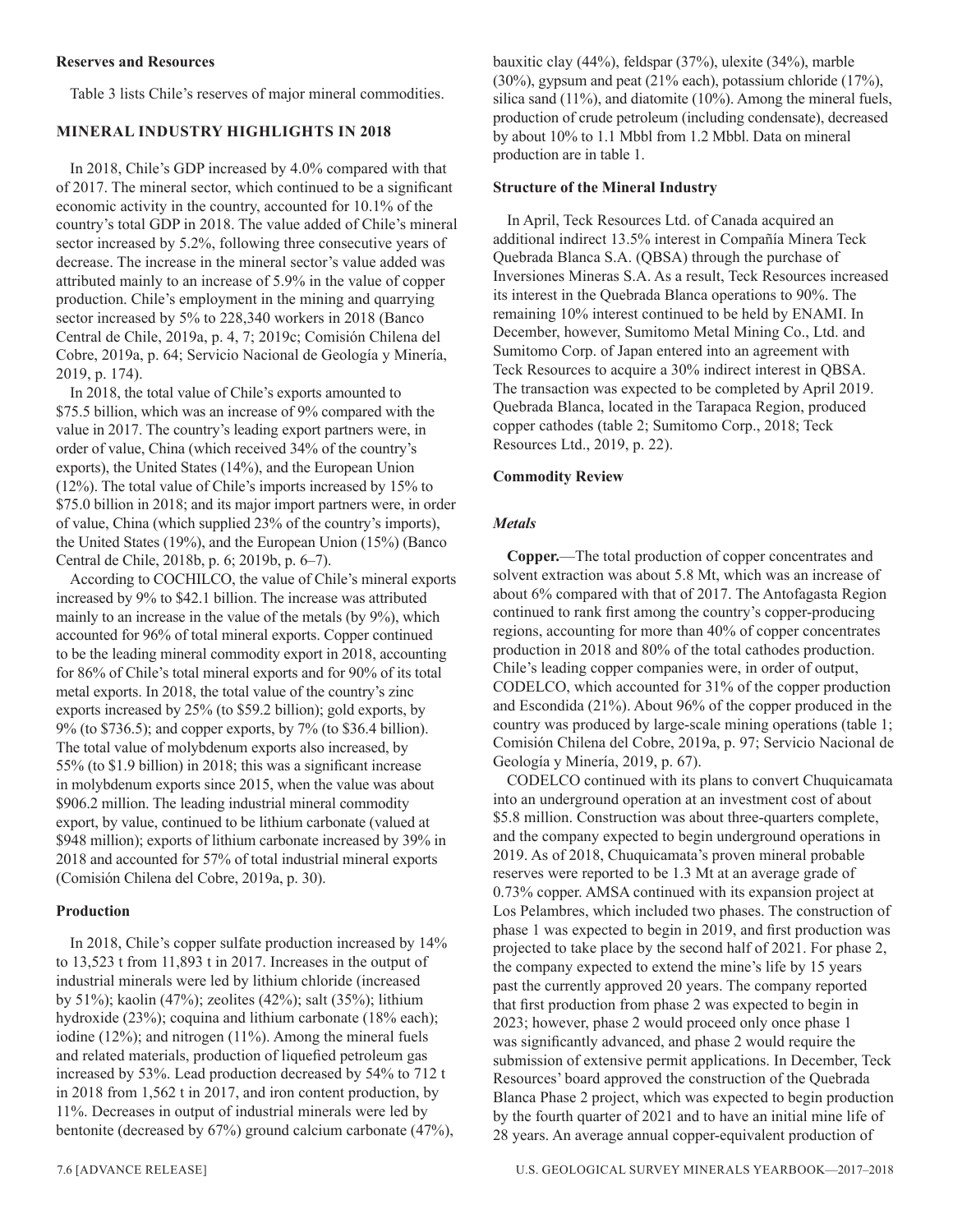#### **Reserves and Resources**

Table 3 lists Chile's reserves of major mineral commodities.

#### **MINERAL INDUSTRY HIGHLIGHTS IN 2018**

In 2018, Chile's GDP increased by 4.0% compared with that of 2017. The mineral sector, which continued to be a significant economic activity in the country, accounted for 10.1% of the country's total GDP in 2018. The value added of Chile's mineral sector increased by 5.2%, following three consecutive years of decrease. The increase in the mineral sector's value added was attributed mainly to an increase of 5.9% in the value of copper production. Chile's employment in the mining and quarrying sector increased by 5% to 228,340 workers in 2018 (Banco Central de Chile, 2019a, p. 4, 7; 2019c; Comisión Chilena del Cobre, 2019a, p. 64; Servicio Nacional de Geología y Minería, 2019, p. 174).

In 2018, the total value of Chile's exports amounted to \$75.5 billion, which was an increase of 9% compared with the value in 2017. The country's leading export partners were, in order of value, China (which received 34% of the country's exports), the United States (14%), and the European Union (12%). The total value of Chile's imports increased by 15% to \$75.0 billion in 2018; and its major import partners were, in order of value, China (which supplied 23% of the country's imports), the United States (19%), and the European Union (15%) (Banco Central de Chile, 2018b, p. 6; 2019b, p. 6–7).

According to COCHILCO, the value of Chile's mineral exports increased by 9% to \$42.1 billion. The increase was attributed mainly to an increase in the value of the metals (by 9%), which accounted for 96% of total mineral exports. Copper continued to be the leading mineral commodity export in 2018, accounting for 86% of Chile's total mineral exports and for 90% of its total metal exports. In 2018, the total value of the country's zinc exports increased by 25% (to \$59.2 billion); gold exports, by 9% (to \$736.5); and copper exports, by 7% (to \$36.4 billion). The total value of molybdenum exports also increased, by 55% (to \$1.9 billion) in 2018; this was a significant increase in molybdenum exports since 2015, when the value was about \$906.2 million. The leading industrial mineral commodity export, by value, continued to be lithium carbonate (valued at \$948 million); exports of lithium carbonate increased by 39% in 2018 and accounted for 57% of total industrial mineral exports (Comisión Chilena del Cobre, 2019a, p. 30).

#### **Production**

In 2018, Chile's copper sulfate production increased by 14% to 13,523 t from 11,893 t in 2017. Increases in the output of industrial minerals were led by lithium chloride (increased by 51%); kaolin (47%); zeolites (42%); salt (35%); lithium hydroxide (23%); coquina and lithium carbonate (18% each); iodine (12%); and nitrogen (11%). Among the mineral fuels and related materials, production of liquefied petroleum gas increased by 53%. Lead production decreased by 54% to 712 t in 2018 from 1,562 t in 2017, and iron content production, by 11%. Decreases in output of industrial minerals were led by bentonite (decreased by 67%) ground calcium carbonate (47%), bauxitic clay (44%), feldspar (37%), ulexite (34%), marble (30%), gypsum and peat (21% each), potassium chloride (17%), silica sand (11%), and diatomite (10%). Among the mineral fuels, production of crude petroleum (including condensate), decreased by about 10% to 1.1 Mbbl from 1.2 Mbbl. Data on mineral production are in table 1.

#### **Structure of the Mineral Industry**

In April, Teck Resources Ltd. of Canada acquired an additional indirect 13.5% interest in Compañía Minera Teck Quebrada Blanca S.A. (QBSA) through the purchase of Inversiones Mineras S.A. As a result, Teck Resources increased its interest in the Quebrada Blanca operations to 90%. The remaining 10% interest continued to be held by ENAMI. In December, however, Sumitomo Metal Mining Co., Ltd. and Sumitomo Corp. of Japan entered into an agreement with Teck Resources to acquire a 30% indirect interest in QBSA. The transaction was expected to be completed by April 2019. Quebrada Blanca, located in the Tarapaca Region, produced copper cathodes (table 2; Sumitomo Corp., 2018; Teck Resources Ltd., 2019, p. 22).

#### **Commodity Review**

#### *Metals*

**Copper.**—The total production of copper concentrates and solvent extraction was about 5.8 Mt, which was an increase of about 6% compared with that of 2017. The Antofagasta Region continued to rank first among the country's copper-producing regions, accounting for more than 40% of copper concentrates production in 2018 and 80% of the total cathodes production. Chile's leading copper companies were, in order of output, CODELCO, which accounted for 31% of the copper production and Escondida (21%). About 96% of the copper produced in the country was produced by large-scale mining operations (table 1; Comisión Chilena del Cobre, 2019a, p. 97; Servicio Nacional de Geología y Minería, 2019, p. 67).

CODELCO continued with its plans to convert Chuquicamata into an underground operation at an investment cost of about \$5.8 million. Construction was about three-quarters complete, and the company expected to begin underground operations in 2019. As of 2018, Chuquicamata's proven mineral probable reserves were reported to be 1.3 Mt at an average grade of 0.73% copper. AMSA continued with its expansion project at Los Pelambres, which included two phases. The construction of phase 1 was expected to begin in 2019, and first production was projected to take place by the second half of 2021. For phase 2, the company expected to extend the mine's life by 15 years past the currently approved 20 years. The company reported that first production from phase 2 was expected to begin in 2023; however, phase 2 would proceed only once phase 1 was significantly advanced, and phase 2 would require the submission of extensive permit applications. In December, Teck Resources' board approved the construction of the Quebrada Blanca Phase 2 project, which was expected to begin production by the fourth quarter of 2021 and to have an initial mine life of 28 years. An average annual copper-equivalent production of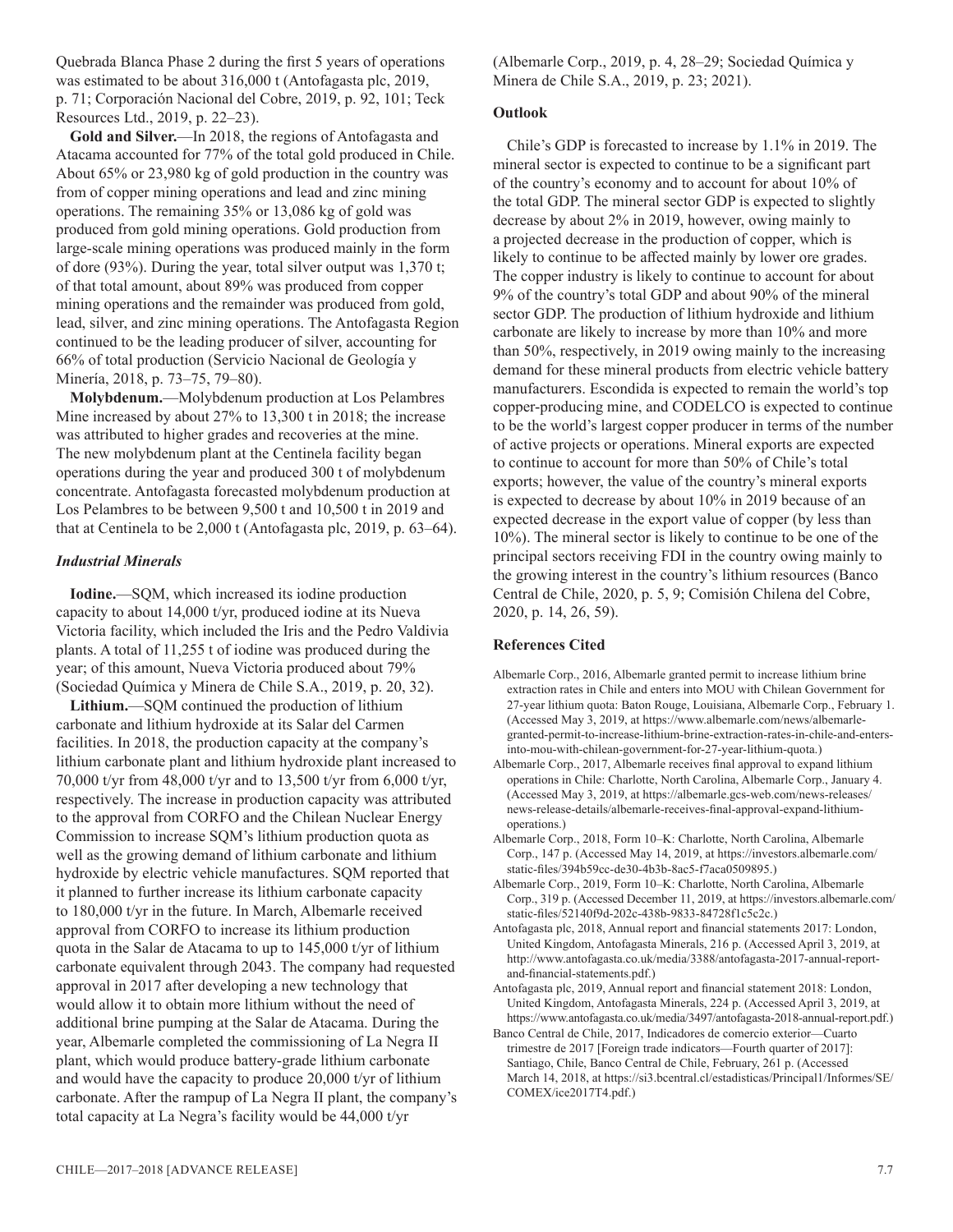Quebrada Blanca Phase 2 during the first 5 years of operations was estimated to be about 316,000 t (Antofagasta plc, 2019, p. 71; Corporación Nacional del Cobre, 2019, p. 92, 101; Teck Resources Ltd., 2019, p. 22–23).

**Gold and Silver.**—In 2018, the regions of Antofagasta and Atacama accounted for 77% of the total gold produced in Chile. About 65% or 23,980 kg of gold production in the country was from of copper mining operations and lead and zinc mining operations. The remaining 35% or 13,086 kg of gold was produced from gold mining operations. Gold production from large-scale mining operations was produced mainly in the form of dore (93%). During the year, total silver output was 1,370 t; of that total amount, about 89% was produced from copper mining operations and the remainder was produced from gold, lead, silver, and zinc mining operations. The Antofagasta Region continued to be the leading producer of silver, accounting for 66% of total production (Servicio Nacional de Geología y Minería, 2018, p. 73–75, 79–80).

**Molybdenum.**—Molybdenum production at Los Pelambres Mine increased by about 27% to 13,300 t in 2018; the increase was attributed to higher grades and recoveries at the mine. The new molybdenum plant at the Centinela facility began operations during the year and produced 300 t of molybdenum concentrate. Antofagasta forecasted molybdenum production at Los Pelambres to be between 9,500 t and 10,500 t in 2019 and that at Centinela to be 2,000 t (Antofagasta plc, 2019, p. 63–64).

#### *Industrial Minerals*

**Iodine.**—SQM, which increased its iodine production capacity to about 14,000 t/yr, produced iodine at its Nueva Victoria facility, which included the Iris and the Pedro Valdivia plants. A total of 11,255 t of iodine was produced during the year; of this amount, Nueva Victoria produced about 79% (Sociedad Química y Minera de Chile S.A., 2019, p. 20, 32).

**Lithium.**—SQM continued the production of lithium carbonate and lithium hydroxide at its Salar del Carmen facilities. In 2018, the production capacity at the company's lithium carbonate plant and lithium hydroxide plant increased to 70,000 t/yr from 48,000 t/yr and to 13,500 t/yr from 6,000 t/yr, respectively. The increase in production capacity was attributed to the approval from CORFO and the Chilean Nuclear Energy Commission to increase SQM's lithium production quota as well as the growing demand of lithium carbonate and lithium hydroxide by electric vehicle manufactures. SQM reported that it planned to further increase its lithium carbonate capacity to 180,000 t/yr in the future. In March, Albemarle received approval from CORFO to increase its lithium production quota in the Salar de Atacama to up to 145,000 t/yr of lithium carbonate equivalent through 2043. The company had requested approval in 2017 after developing a new technology that would allow it to obtain more lithium without the need of additional brine pumping at the Salar de Atacama. During the year, Albemarle completed the commissioning of La Negra II plant, which would produce battery-grade lithium carbonate and would have the capacity to produce 20,000 t/yr of lithium carbonate. After the rampup of La Negra II plant, the company's total capacity at La Negra's facility would be 44,000 t/yr

(Albemarle Corp., 2019, p. 4, 28–29; Sociedad Química y Minera de Chile S.A., 2019, p. 23; 2021).

#### **Outlook**

Chile's GDP is forecasted to increase by 1.1% in 2019. The mineral sector is expected to continue to be a significant part of the country's economy and to account for about 10% of the total GDP. The mineral sector GDP is expected to slightly decrease by about 2% in 2019, however, owing mainly to a projected decrease in the production of copper, which is likely to continue to be affected mainly by lower ore grades. The copper industry is likely to continue to account for about 9% of the country's total GDP and about 90% of the mineral sector GDP. The production of lithium hydroxide and lithium carbonate are likely to increase by more than 10% and more than 50%, respectively, in 2019 owing mainly to the increasing demand for these mineral products from electric vehicle battery manufacturers. Escondida is expected to remain the world's top copper-producing mine, and CODELCO is expected to continue to be the world's largest copper producer in terms of the number of active projects or operations. Mineral exports are expected to continue to account for more than 50% of Chile's total exports; however, the value of the country's mineral exports is expected to decrease by about 10% in 2019 because of an expected decrease in the export value of copper (by less than 10%). The mineral sector is likely to continue to be one of the principal sectors receiving FDI in the country owing mainly to the growing interest in the country's lithium resources (Banco Central de Chile, 2020, p. 5, 9; Comisión Chilena del Cobre, 2020, p. 14, 26, 59).

#### **References Cited**

- Albemarle Corp., 2016, Albemarle granted permit to increase lithium brine extraction rates in Chile and enters into MOU with Chilean Government for 27-year lithium quota: Baton Rouge, Louisiana, Albemarle Corp., February 1. (Accessed May 3, 2019, at https://www.albemarle.com/news/albemarlegranted-permit-to-increase-lithium-brine-extraction-rates-in-chile-and-entersinto-mou-with-chilean-government-for-27-year-lithium-quota.)
- Albemarle Corp., 2017, Albemarle receives final approval to expand lithium operations in Chile: Charlotte, North Carolina, Albemarle Corp., January 4. (Accessed May 3, 2019, at https://albemarle.gcs-web.com/news-releases/ news-release-details/albemarle-receives-final-approval-expand-lithiumoperations.)
- Albemarle Corp., 2018, Form 10–K: Charlotte, North Carolina, Albemarle Corp., 147 p. (Accessed May 14, 2019, at https://investors.albemarle.com/ static-files/394b59cc-de30-4b3b-8ac5-f7aca0509895.)
- Albemarle Corp., 2019, Form 10–K: Charlotte, North Carolina, Albemarle Corp., 319 p. (Accessed December 11, 2019, at https://investors.albemarle.com/ static-files/52140f9d-202c-438b-9833-84728f1c5c2c.)
- Antofagasta plc, 2018, Annual report and financial statements 2017: London, United Kingdom, Antofagasta Minerals, 216 p. (Accessed April 3, 2019, at http://www.antofagasta.co.uk/media/3388/antofagasta-2017-annual-reportand-financial-statements.pdf.)
- Antofagasta plc, 2019, Annual report and financial statement 2018: London, United Kingdom, Antofagasta Minerals, 224 p. (Accessed April 3, 2019, at https://www.antofagasta.co.uk/media/3497/antofagasta-2018-annual-report.pdf.)
- Banco Central de Chile, 2017, Indicadores de comercio exterior—Cuarto trimestre de 2017 [Foreign trade indicators—Fourth quarter of 2017]: Santiago, Chile, Banco Central de Chile, February, 261 p. (Accessed March 14, 2018, at https://si3.bcentral.cl/estadisticas/Principal1/Informes/SE/ COMEX/ice2017T4.pdf.)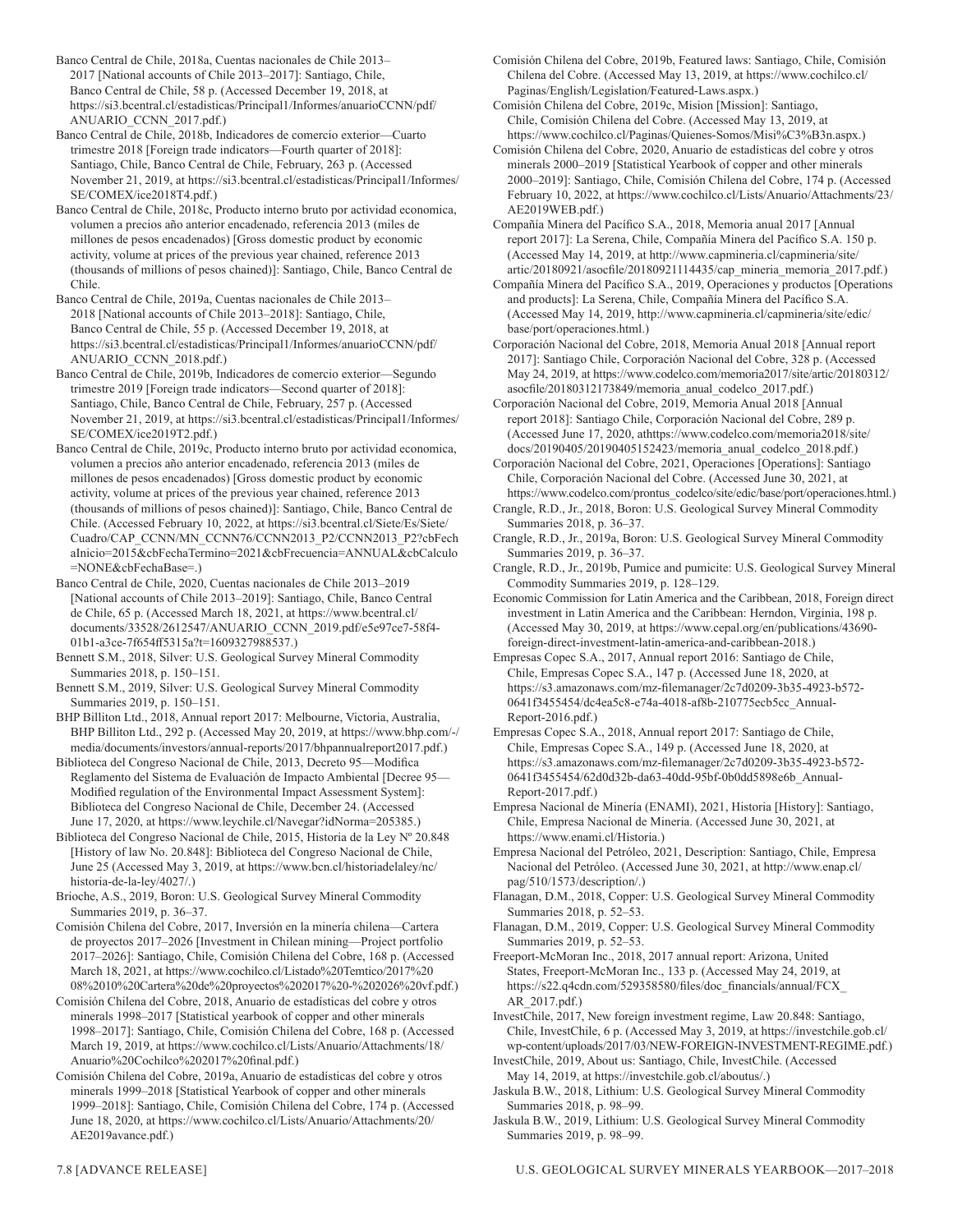Banco Central de Chile, 2018a, Cuentas nacionales de Chile 2013– 2017 [National accounts of Chile 2013–2017]: Santiago, Chile, Banco Central de Chile, 58 p. (Accessed December 19, 2018, at https://si3.bcentral.cl/estadisticas/Principal1/Informes/anuarioCCNN/pdf/ ANUARIO\_CCNN\_2017.pdf.)

Banco Central de Chile, 2018b, Indicadores de comercio exterior—Cuarto trimestre 2018 [Foreign trade indicators—Fourth quarter of 2018]: Santiago, Chile, Banco Central de Chile, February, 263 p. (Accessed November 21, 2019, at https://si3.bcentral.cl/estadisticas/Principal1/Informes/ SE/COMEX/ice2018T4.pdf.)

Banco Central de Chile, 2018c, Producto interno bruto por actividad economica, volumen a precios año anterior encadenado, referencia 2013 (miles de millones de pesos encadenados) [Gross domestic product by economic activity, volume at prices of the previous year chained, reference 2013 (thousands of millions of pesos chained)]: Santiago, Chile, Banco Central de Chile.

Banco Central de Chile, 2019a, Cuentas nacionales de Chile 2013– 2018 [National accounts of Chile 2013–2018]: Santiago, Chile, Banco Central de Chile, 55 p. (Accessed December 19, 2018, at https://si3.bcentral.cl/estadisticas/Principal1/Informes/anuarioCCNN/pdf/ ANUARIO\_CCNN\_2018.pdf.)

Banco Central de Chile, 2019b, Indicadores de comercio exterior—Segundo trimestre 2019 [Foreign trade indicators—Second quarter of 2018]: Santiago, Chile, Banco Central de Chile, February, 257 p. (Accessed November 21, 2019, at https://si3.bcentral.cl/estadisticas/Principal1/Informes/ SE/COMEX/ice2019T2.pdf.)

Banco Central de Chile, 2019c, Producto interno bruto por actividad economica, volumen a precios año anterior encadenado, referencia 2013 (miles de millones de pesos encadenados) [Gross domestic product by economic activity, volume at prices of the previous year chained, reference 2013 (thousands of millions of pesos chained)]: Santiago, Chile, Banco Central de Chile. (Accessed February 10, 2022, at https://si3.bcentral.cl/Siete/Es/Siete/ Cuadro/CAP\_CCNN/MN\_CCNN76/CCNN2013\_P2/CCNN2013\_P2?cbFech aInicio=2015&cbFechaTermino=2021&cbFrecuencia=ANNUAL&cbCalculo =NONE&cbFechaBase=.)

Banco Central de Chile, 2020, Cuentas nacionales de Chile 2013–2019 [National accounts of Chile 2013–2019]: Santiago, Chile, Banco Central de Chile, 65 p. (Accessed March 18, 2021, at https://www.bcentral.cl/ documents/33528/2612547/ANUARIO\_CCNN\_2019.pdf/e5e97ce7-58f4- 01b1-a3ce-7f654ff5315a?t=1609327988537.)

Bennett S.M., 2018, Silver: U.S. Geological Survey Mineral Commodity Summaries 2018, p. 150–151.

Bennett S.M., 2019, Silver: U.S. Geological Survey Mineral Commodity Summaries 2019, p. 150–151.

BHP Billiton Ltd., 2018, Annual report 2017: Melbourne, Victoria, Australia, BHP Billiton Ltd., 292 p. (Accessed May 20, 2019, at https://www.bhp.com/-/ media/documents/investors/annual-reports/2017/bhpannualreport2017.pdf.)

Biblioteca del Congreso Nacional de Chile, 2013, Decreto 95—Modifica Reglamento del Sistema de Evaluación de Impacto Ambiental [Decree 95— Modified regulation of the Environmental Impact Assessment System]: Biblioteca del Congreso Nacional de Chile, December 24. (Accessed June 17, 2020, at https://www.leychile.cl/Navegar?idNorma=205385.)

Biblioteca del Congreso Nacional de Chile, 2015, Historia de la Ley Nº 20.848 [History of law No. 20.848]: Biblioteca del Congreso Nacional de Chile, June 25 (Accessed May 3, 2019, at https://www.bcn.cl/historiadelaley/nc/ historia-de-la-ley/4027/.)

Brioche, A.S., 2019, Boron: U.S. Geological Survey Mineral Commodity Summaries 2019, p. 36–37.

Comisión Chilena del Cobre, 2017, Inversión en la minería chilena—Cartera de proyectos 2017–2026 [Investment in Chilean mining—Project portfolio 2017‒2026]: Santiago, Chile, Comisión Chilena del Cobre, 168 p. (Accessed March 18, 2021, at https://www.cochilco.cl/Listado%20Temtico/2017%20 08%2010%20Cartera%20de%20proyectos%202017%20-%202026%20vf.pdf.)

Comisión Chilena del Cobre, 2018, Anuario de estadísticas del cobre y otros minerals 1998-2017 [Statistical yearbook of copper and other minerals 1998‒2017]: Santiago, Chile, Comisión Chilena del Cobre, 168 p. (Accessed March 19, 2019, at https://www.cochilco.cl/Lists/Anuario/Attachments/18/ Anuario%20Cochilco%202017%20final.pdf.)

Comisión Chilena del Cobre, 2019a, Anuario de estadísticas del cobre y otros minerals 1999-2018 [Statistical Yearbook of copper and other minerals 1999‒2018]: Santiago, Chile, Comisión Chilena del Cobre, 174 p. (Accessed June 18, 2020, at https://www.cochilco.cl/Lists/Anuario/Attachments/20/ AE2019avance.pdf.)

Comisión Chilena del Cobre, 2019b, Featured laws: Santiago, Chile, Comisión Chilena del Cobre. (Accessed May 13, 2019, at https://www.cochilco.cl/ Paginas/English/Legislation/Featured-Laws.aspx.)

Comisión Chilena del Cobre, 2019c, Mision [Mission]: Santiago, Chile, Comisión Chilena del Cobre. (Accessed May 13, 2019, at https://www.cochilco.cl/Paginas/Quienes-Somos/Misi%C3%B3n.aspx.)

Comisión Chilena del Cobre, 2020, Anuario de estadísticas del cobre y otros minerals 2000–2019 [Statistical Yearbook of copper and other minerals 2000‒2019]: Santiago, Chile, Comisión Chilena del Cobre, 174 p. (Accessed February 10, 2022, at https://www.cochilco.cl/Lists/Anuario/Attachments/23/ AE2019WEB.pdf.)

Compañía Minera del Pacífico S.A., 2018, Memoria anual 2017 [Annual report 2017]: La Serena, Chile, Compañía Minera del Pacífico S.A. 150 p. (Accessed May 14, 2019, at http://www.capmineria.cl/capmineria/site/ artic/20180921/asocfile/20180921114435/cap\_mineria\_memoria\_2017.pdf.)

Compañía Minera del Pacífico S.A., 2019, Operaciones y productos [Operations and products]: La Serena, Chile, Compañía Minera del Pacífico S.A. (Accessed May 14, 2019, http://www.capmineria.cl/capmineria/site/edic/ base/port/operaciones.html.)

Corporación Nacional del Cobre, 2018, Memoria Anual 2018 [Annual report 2017]: Santiago Chile, Corporación Nacional del Cobre, 328 p. (Accessed May 24, 2019, at https://www.codelco.com/memoria2017/site/artic/20180312/ asocfile/20180312173849/memoria\_anual\_codelco\_2017.pdf.)

Corporación Nacional del Cobre, 2019, Memoria Anual 2018 [Annual report 2018]: Santiago Chile, Corporación Nacional del Cobre, 289 p. (Accessed June 17, 2020, athttps://www.codelco.com/memoria2018/site/ docs/20190405/20190405152423/memoria\_anual\_codelco\_2018.pdf.)

Corporación Nacional del Cobre, 2021, Operaciones [Operations]: Santiago Chile, Corporación Nacional del Cobre. (Accessed June 30, 2021, at https://www.codelco.com/prontus\_codelco/site/edic/base/port/operaciones.html.)

Crangle, R.D., Jr., 2018, Boron: U.S. Geological Survey Mineral Commodity Summaries 2018, p. 36–37.

Crangle, R.D., Jr., 2019a, Boron: U.S. Geological Survey Mineral Commodity Summaries 2019, p. 36–37.

Crangle, R.D., Jr., 2019b, Pumice and pumicite: U.S. Geological Survey Mineral Commodity Summaries 2019, p. 128–129.

Economic Commission for Latin America and the Caribbean, 2018, Foreign direct investment in Latin America and the Caribbean: Herndon, Virginia, 198 p. (Accessed May 30, 2019, at https://www.cepal.org/en/publications/43690 foreign-direct-investment-latin-america-and-caribbean-2018.)

Empresas Copec S.A., 2017, Annual report 2016: Santiago de Chile, Chile, Empresas Copec S.A., 147 p. (Accessed June 18, 2020, at https://s3.amazonaws.com/mz-filemanager/2c7d0209-3b35-4923-b572- 0641f3455454/dc4ea5c8-e74a-4018-af8b-210775ecb5cc\_Annual-Report-2016.pdf.)

Empresas Copec S.A., 2018, Annual report 2017: Santiago de Chile, Chile, Empresas Copec S.A., 149 p. (Accessed June 18, 2020, at https://s3.amazonaws.com/mz-filemanager/2c7d0209-3b35-4923-b572- 0641f3455454/62d0d32b-da63-40dd-95bf-0b0dd5898e6b\_Annual-Report-2017.pdf.)

Empresa Nacional de Minería (ENAMI), 2021, Historia [History]: Santiago, Chile, Empresa Nacional de Mineria. (Accessed June 30, 2021, at https://www.enami.cl/Historia.)

Empresa Nacional del Petróleo, 2021, Description: Santiago, Chile, Empresa Nacional del Petróleo. (Accessed June 30, 2021, at http://www.enap.cl/ pag/510/1573/description/.)

Flanagan, D.M., 2018, Copper: U.S. Geological Survey Mineral Commodity Summaries 2018, p. 52–53.

Flanagan, D.M., 2019, Copper: U.S. Geological Survey Mineral Commodity Summaries 2019, p. 52–53.

Freeport-McMoran Inc., 2018, 2017 annual report: Arizona, United States, Freeport-McMoran Inc., 133 p. (Accessed May 24, 2019, at https://s22.q4cdn.com/529358580/files/doc\_financials/annual/FCX\_ AR\_2017.pdf.)

InvestChile, 2017, New foreign investment regime, Law 20.848: Santiago, Chile, InvestChile, 6 p. (Accessed May 3, 2019, at https://investchile.gob.cl/ wp-content/uploads/2017/03/NEW-FOREIGN-INVESTMENT-REGIME.pdf.)

InvestChile, 2019, About us: Santiago, Chile, InvestChile. (Accessed May 14, 2019, at https://investchile.gob.cl/aboutus/.)

Jaskula B.W., 2018, Lithium: U.S. Geological Survey Mineral Commodity Summaries 2018, p. 98–99.

Jaskula B.W., 2019, Lithium: U.S. Geological Survey Mineral Commodity Summaries 2019, p. 98–99.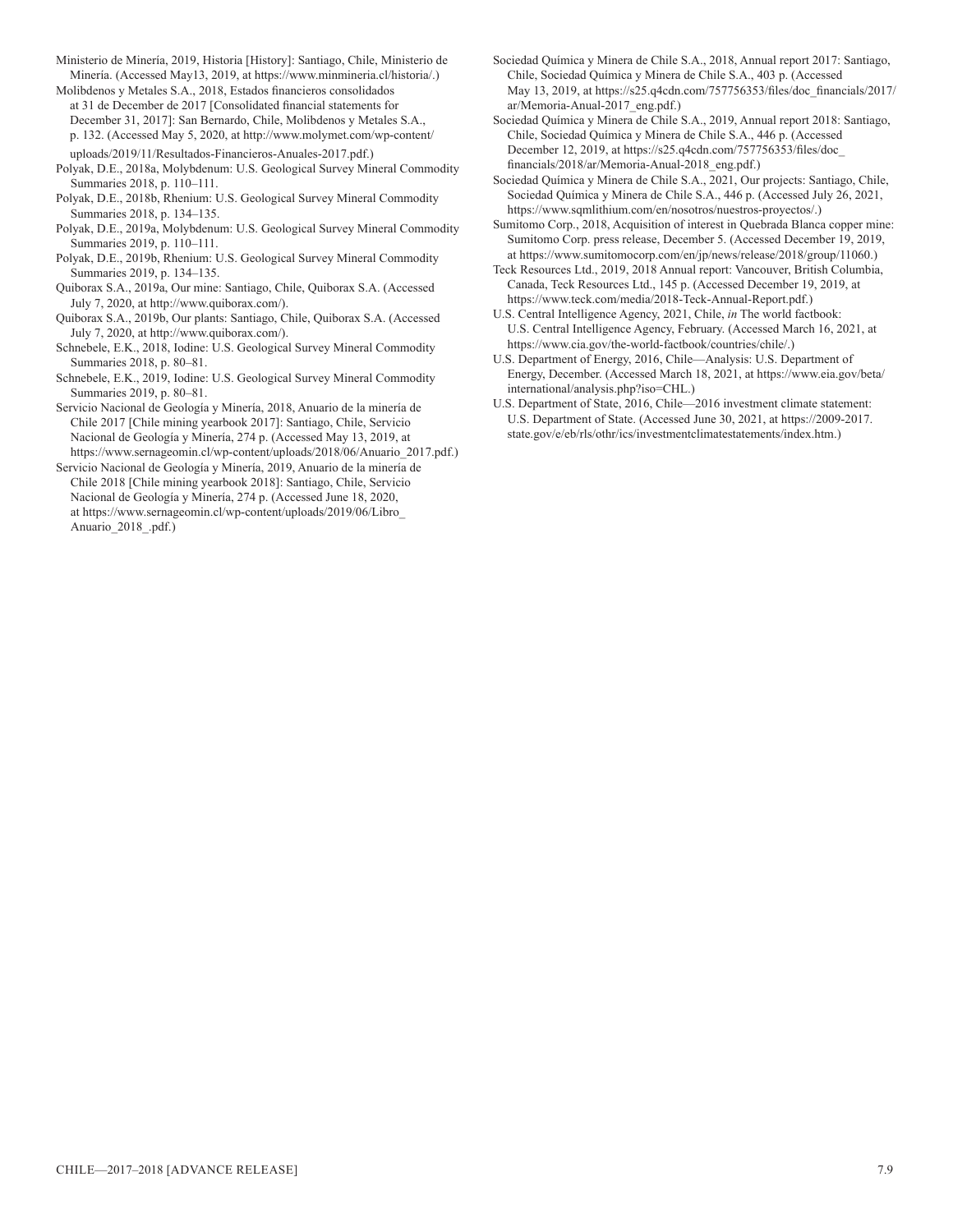Ministerio de Minería, 2019, Historia [History]: Santiago, Chile, Ministerio de Minería. (Accessed May13, 2019, at https://www.minmineria.cl/historia/.)

Molibdenos y Metales S.A., 2018, Estados financieros consolidados at 31 de December de 2017 [Consolidated financial statements for December 31, 2017]: San Bernardo, Chile, Molibdenos y Metales S.A., p. 132. (Accessed May 5, 2020, at http://www.molymet.com/wp-content/ uploads/2019/11/Resultados-Financieros-Anuales-2017.pdf.)

- Polyak, D.E., 2018a, Molybdenum: U.S. Geological Survey Mineral Commodity Summaries 2018, p. 110–111.
- Polyak, D.E., 2018b, Rhenium: U.S. Geological Survey Mineral Commodity Summaries 2018, p. 134–135.
- Polyak, D.E., 2019a, Molybdenum: U.S. Geological Survey Mineral Commodity Summaries 2019, p. 110–111.
- Polyak, D.E., 2019b, Rhenium: U.S. Geological Survey Mineral Commodity Summaries 2019, p. 134–135.
- Quiborax S.A., 2019a, Our mine: Santiago, Chile, Quiborax S.A. (Accessed July 7, 2020, at http://www.quiborax.com/).
- Quiborax S.A., 2019b, Our plants: Santiago, Chile, Quiborax S.A. (Accessed July 7, 2020, at http://www.quiborax.com/).
- Schnebele, E.K., 2018, Iodine: U.S. Geological Survey Mineral Commodity Summaries 2018, p. 80–81.
- Schnebele, E.K., 2019, Iodine: U.S. Geological Survey Mineral Commodity Summaries 2019, p. 80–81.
- Servicio Nacional de Geología y Minería, 2018, Anuario de la minería de Chile 2017 [Chile mining yearbook 2017]: Santiago, Chile, Servicio Nacional de Geología y Minería, 274 p. (Accessed May 13, 2019, at https://www.sernageomin.cl/wp-content/uploads/2018/06/Anuario\_2017.pdf.)
- Servicio Nacional de Geología y Minería, 2019, Anuario de la minería de Chile 2018 [Chile mining yearbook 2018]: Santiago, Chile, Servicio Nacional de Geología y Minería, 274 p. (Accessed June 18, 2020, at https://www.sernageomin.cl/wp-content/uploads/2019/06/Libro\_ Anuario 2018 .pdf.)
- Sociedad Química y Minera de Chile S.A., 2018, Annual report 2017: Santiago, Chile, Sociedad Química y Minera de Chile S.A., 403 p. (Accessed May 13, 2019, at https://s25.q4cdn.com/757756353/files/doc\_financials/2017/ ar/Memoria-Anual-2017\_eng.pdf.)
- Sociedad Química y Minera de Chile S.A., 2019, Annual report 2018: Santiago, Chile, Sociedad Química y Minera de Chile S.A., 446 p. (Accessed December 12, 2019, at https://s25.q4cdn.com/757756353/files/doc\_ financials/2018/ar/Memoria-Anual-2018\_eng.pdf.)
- Sociedad Química y Minera de Chile S.A., 2021, Our projects: Santiago, Chile, Sociedad Química y Minera de Chile S.A., 446 p. (Accessed July 26, 2021, https://www.sqmlithium.com/en/nosotros/nuestros-proyectos/.)
- Sumitomo Corp., 2018, Acquisition of interest in Quebrada Blanca copper mine: Sumitomo Corp. press release, December 5. (Accessed December 19, 2019, at https://www.sumitomocorp.com/en/jp/news/release/2018/group/11060.)
- Teck Resources Ltd., 2019, 2018 Annual report: Vancouver, British Columbia, Canada, Teck Resources Ltd., 145 p. (Accessed December 19, 2019, at https://www.teck.com/media/2018-Teck-Annual-Report.pdf.)
- U.S. Central Intelligence Agency, 2021, Chile, *in* The world factbook: U.S. Central Intelligence Agency, February. (Accessed March 16, 2021, at https://www.cia.gov/the-world-factbook/countries/chile/.)
- U.S. Department of Energy, 2016, Chile—Analysis: U.S. Department of Energy, December. (Accessed March 18, 2021, at https://www.eia.gov/beta/ international/analysis.php?iso=CHL.)
- U.S. Department of State, 2016, Chile—2016 investment climate statement: U.S. Department of State. (Accessed June 30, 2021, at https://2009-2017. state.gov/e/eb/rls/othr/ics/investmentclimatestatements/index.htm.)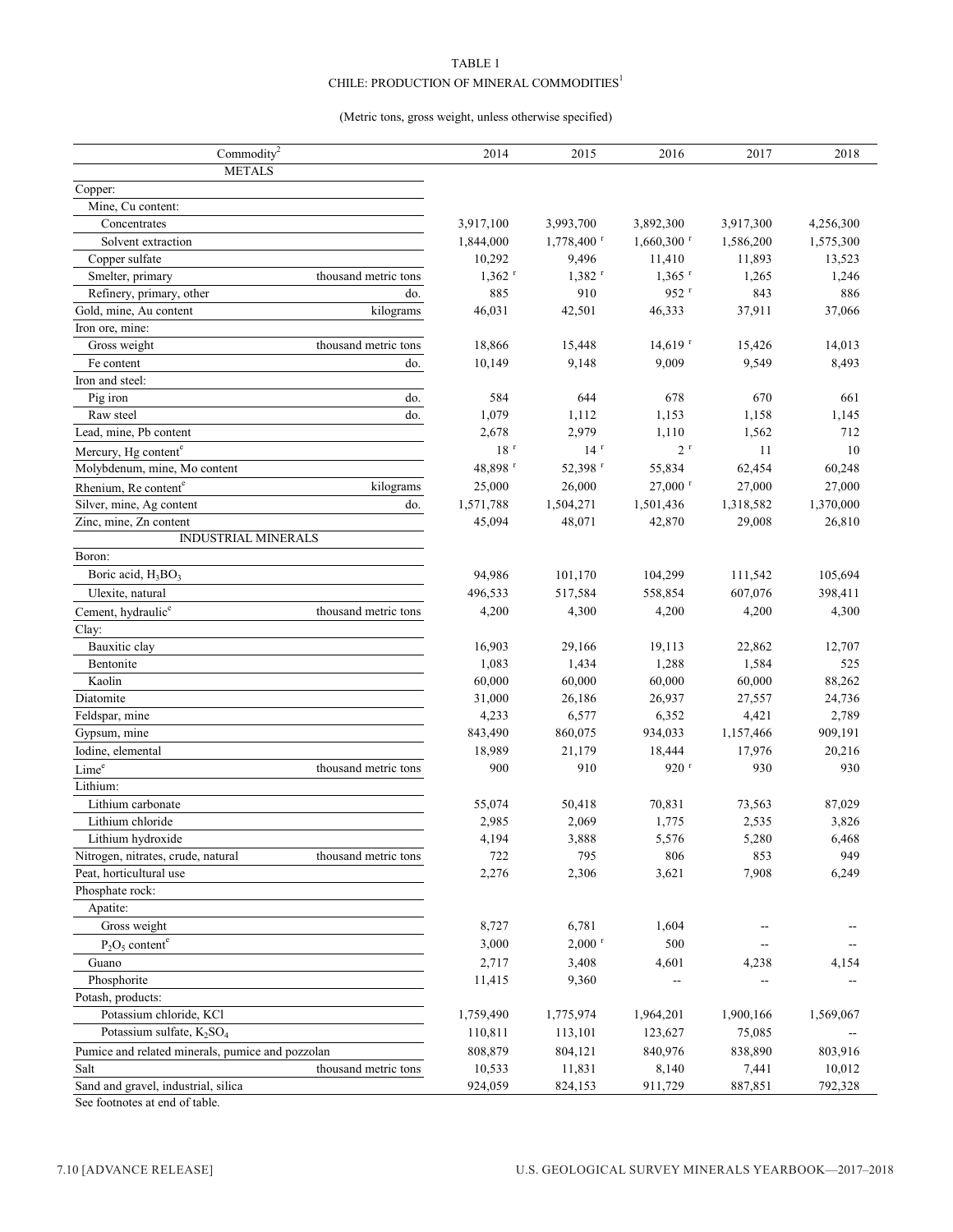#### TABLE 1  $\mathtt{CHILE} \colon \mathsf{PRODUCTION}$  OF MINERAL COMMODITIES  $^1$

#### (Metric tons, gross weight, unless otherwise specified)

| Commodity <sup>2</sup>                           |                      | 2014                 | 2015                 | 2016                     | 2017      | 2018      |
|--------------------------------------------------|----------------------|----------------------|----------------------|--------------------------|-----------|-----------|
| <b>METALS</b>                                    |                      |                      |                      |                          |           |           |
| Copper:                                          |                      |                      |                      |                          |           |           |
| Mine, Cu content:                                |                      |                      |                      |                          |           |           |
| Concentrates                                     |                      | 3,917,100            | 3,993,700            | 3,892,300                | 3,917,300 | 4,256,300 |
| Solvent extraction                               |                      | 1,844,000            | 1,778,400 r          | $1,660,300$ <sup>r</sup> | 1,586,200 | 1,575,300 |
| Copper sulfate                                   |                      | 10,292               | 9,496                | 11,410                   | 11,893    | 13,523    |
| Smelter, primary                                 | thousand metric tons | $1,362$ <sup>r</sup> | $1,382$ <sup>r</sup> | $1,365$ <sup>r</sup>     | 1,265     | 1,246     |
| Refinery, primary, other                         | do.                  | 885                  | 910                  | 952 r                    | 843       | 886       |
| Gold, mine, Au content                           | kilograms            | 46,031               | 42,501               | 46,333                   | 37,911    | 37,066    |
| Iron ore, mine:                                  |                      |                      |                      |                          |           |           |
| Gross weight                                     | thousand metric tons | 18,866               | 15,448               | $14,619$ <sup>r</sup>    | 15,426    | 14,013    |
| Fe content                                       | do.                  | 10,149               | 9,148                | 9,009                    | 9,549     | 8,493     |
| Iron and steel:                                  |                      |                      |                      |                          |           |           |
| Pig iron                                         | do.                  | 584                  | 644                  | 678                      | 670       | 661       |
| Raw steel                                        | do.                  | 1,079                | 1,112                | 1,153                    | 1,158     | 1,145     |
| Lead, mine, Pb content                           |                      | 2,678                | 2,979                | 1,110                    | 1,562     | 712       |
| Mercury, Hg content <sup>e</sup>                 |                      | $18~^{\rm r}$        | 14 <sup>r</sup>      | 2 <sup>r</sup>           | 11        | 10        |
| Molybdenum, mine, Mo content                     |                      | 48,898 r             | 52,398 r             | 55,834                   | 62,454    | 60,248    |
| Rhenium, Re content <sup>e</sup>                 | kilograms            | 25,000               | 26,000               | $27,000$ <sup>r</sup>    | 27,000    | 27,000    |
| Silver, mine, Ag content                         | do.                  | 1,571,788            | 1,504,271            | 1,501,436                | 1,318,582 | 1,370,000 |
| Zinc, mine, Zn content                           |                      | 45,094               | 48,071               | 42,870                   | 29,008    | 26,810    |
| <b>INDUSTRIAL MINERALS</b>                       |                      |                      |                      |                          |           |           |
| Boron:                                           |                      |                      |                      |                          |           |           |
| Boric acid, H <sub>3</sub> BO <sub>3</sub>       |                      | 94,986               | 101,170              | 104,299                  | 111,542   | 105,694   |
| Ulexite, natural                                 |                      | 496,533              | 517,584              | 558,854                  | 607,076   | 398,411   |
| Cement, hydraulic <sup>e</sup>                   | thousand metric tons | 4,200                | 4,300                | 4,200                    | 4,200     | 4,300     |
| Clay:                                            |                      |                      |                      |                          |           |           |
| Bauxitic clay                                    |                      | 16,903               | 29,166               | 19,113                   | 22,862    | 12,707    |
| Bentonite                                        |                      | 1,083                | 1,434                | 1,288                    | 1,584     | 525       |
| Kaolin                                           |                      | 60,000               | 60,000               | 60,000                   | 60,000    | 88,262    |
| Diatomite                                        |                      | 31,000               | 26,186               | 26,937                   | 27,557    | 24,736    |
| Feldspar, mine                                   |                      | 4,233                | 6,577                | 6,352                    | 4,421     | 2,789     |
| Gypsum, mine                                     |                      | 843,490              | 860,075              | 934,033                  | 1,157,466 | 909,191   |
| Iodine, elemental                                |                      | 18,989               | 21,179               | 18,444                   | 17,976    | 20,216    |
| Lime <sup>e</sup>                                | thousand metric tons | 900                  | 910                  | $920$ <sup>r</sup>       | 930       | 930       |
| Lithium:                                         |                      |                      |                      |                          |           |           |
| Lithium carbonate                                |                      | 55,074               | 50,418               | 70,831                   | 73,563    | 87,029    |
| Lithium chloride                                 |                      | 2,985                | 2,069                | 1,775                    | 2,535     | 3,826     |
| Lithium hydroxide                                |                      | 4,194                | 3,888                | 5,576                    | 5,280     | 6,468     |
| Nitrogen, nitrates, crude, natural               | thousand metric tons | 722                  | 795                  | 806                      | 853       | 949       |
| Peat, horticultural use                          |                      | 2,276                | 2,306                | 3,621                    | 7,908     | 6,249     |
| Phosphate rock:                                  |                      |                      |                      |                          |           |           |
| Apatite:                                         |                      |                      |                      |                          |           |           |
| Gross weight                                     |                      | 8,727                | 6,781                | 1,604                    |           |           |
| $P_2O_5$ content <sup>e</sup>                    |                      | 3,000                | $2,000$ <sup>r</sup> | 500                      |           |           |
| Guano                                            |                      | 2,717                | 3,408                | 4,601                    | 4,238     | 4,154     |
| Phosphorite                                      |                      | 11,415               | 9,360                |                          |           |           |
| Potash, products:                                |                      |                      |                      |                          |           |           |
| Potassium chloride, KCl                          |                      | 1,759,490            | 1,775,974            | 1,964,201                | 1,900,166 | 1,569,067 |
| Potassium sulfate, $K_2SO_4$                     |                      | 110,811              | 113,101              | 123,627                  | 75,085    |           |
| Pumice and related minerals, pumice and pozzolan |                      | 808,879              | 804,121              | 840,976                  | 838,890   | 803,916   |
| Salt                                             | thousand metric tons | 10,533               | 11,831               | 8,140                    | 7,441     | 10,012    |
| Sand and gravel, industrial, silica              |                      | 924,059              | 824,153              | 911,729                  | 887,851   | 792,328   |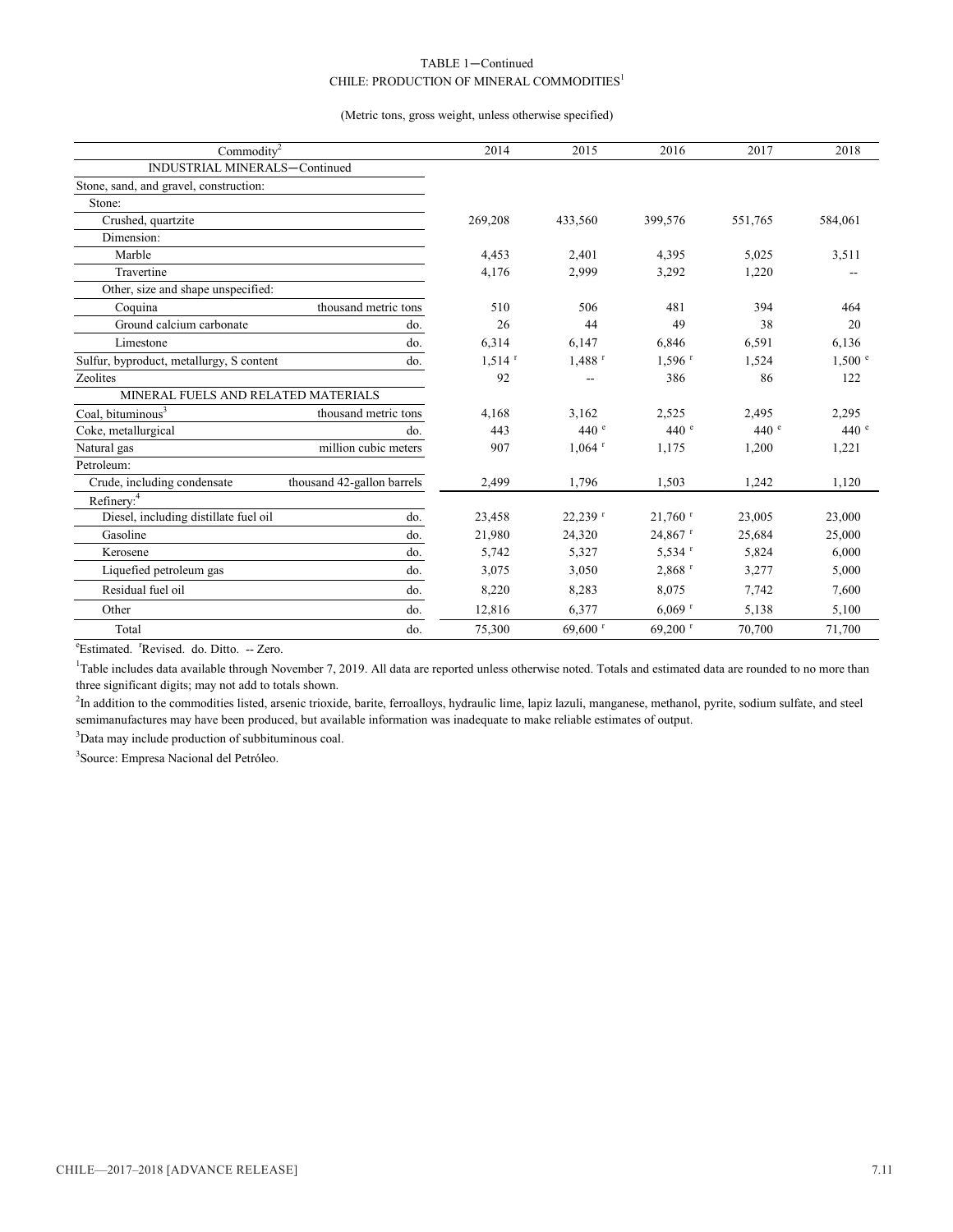#### CHILE: PRODUCTION OF MINERAL COMMODITIES<sup>1</sup> TABLE 1—Continued

#### (Metric tons, gross weight, unless otherwise specified)

| Commodity <sup>2</sup>                   |                            | 2014                 | 2015                  | 2016                  | 2017    | 2018    |
|------------------------------------------|----------------------------|----------------------|-----------------------|-----------------------|---------|---------|
| INDUSTRIAL MINERALS-Continued            |                            |                      |                       |                       |         |         |
| Stone, sand, and gravel, construction:   |                            |                      |                       |                       |         |         |
| Stone:                                   |                            |                      |                       |                       |         |         |
| Crushed, quartzite                       |                            | 269,208              | 433,560               | 399,576               | 551,765 | 584,061 |
| Dimension:                               |                            |                      |                       |                       |         |         |
| Marble                                   |                            | 4,453                | 2.401                 | 4,395                 | 5,025   | 3,511   |
| Travertine                               |                            | 4,176                | 2,999                 | 3,292                 | 1,220   |         |
| Other, size and shape unspecified:       |                            |                      |                       |                       |         |         |
| Coquina                                  | thousand metric tons       | 510                  | 506                   | 481                   | 394     | 464     |
| Ground calcium carbonate                 | do.                        | 26                   | 44                    | 49                    | 38      | 20      |
| Limestone                                | do.                        | 6,314                | 6.147                 | 6,846                 | 6,591   | 6,136   |
| Sulfur, byproduct, metallurgy, S content | do.                        | $1.514$ <sup>r</sup> | $1,488$ <sup>r</sup>  | $1.596$ <sup>r</sup>  | 1,524   | 1,500 ° |
| Zeolites                                 |                            | 92                   | --                    | 386                   | 86      | 122     |
| MINERAL FUELS AND RELATED MATERIALS      |                            |                      |                       |                       |         |         |
| Coal, bituminous <sup>3</sup>            | thousand metric tons       | 4.168                | 3.162                 | 2.525                 | 2.495   | 2,295   |
| Coke, metallurgical                      | do.                        | 443                  | 440 e                 | 440 e                 | 440 e   | 440 e   |
| Natural gas                              | million cubic meters       | 907                  | $1.064$ <sup>r</sup>  | 1.175                 | 1,200   | 1,221   |
| Petroleum:                               |                            |                      |                       |                       |         |         |
| Crude, including condensate              | thousand 42-gallon barrels | 2,499                | 1,796                 | 1,503                 | 1,242   | 1,120   |
| Refinery: <sup>4</sup>                   |                            |                      |                       |                       |         |         |
| Diesel, including distillate fuel oil    | do.                        | 23,458               | $22,239$ <sup>r</sup> | $21,760$ <sup>r</sup> | 23,005  | 23,000  |
| Gasoline                                 | do.                        | 21,980               | 24,320                | $24,867$ <sup>r</sup> | 25,684  | 25,000  |
| Kerosene                                 | do.                        | 5,742                | 5,327                 | $5,534$ <sup>r</sup>  | 5,824   | 6,000   |
| Liquefied petroleum gas                  | do.                        | 3,075                | 3,050                 | $2,868$ <sup>r</sup>  | 3,277   | 5,000   |
| Residual fuel oil                        | do.                        | 8,220                | 8,283                 | 8,075                 | 7,742   | 7,600   |
| Other                                    | do.                        | 12,816               | 6,377                 | $6,069$ <sup>r</sup>  | 5,138   | 5,100   |
| Total                                    | do.                        | 75,300               | 69,600 $r$            | 69,200 $r$            | 70,700  | 71,700  |

<sup>e</sup>Estimated. <sup>r</sup>Revised. do. Ditto. -- Zero.

<sup>1</sup>Table includes data available through November 7, 2019. All data are reported unless otherwise noted. Totals and estimated data are rounded to no more than three significant digits; may not add to totals shown.

<sup>2</sup>In addition to the commodities listed, arsenic trioxide, barite, ferroalloys, hydraulic lime, lapiz lazuli, manganese, methanol, pyrite, sodium sulfate, and steel semimanufactures may have been produced, but available information was inadequate to make reliable estimates of output.

<sup>3</sup>Data may include production of subbituminous coal.

<sup>3</sup>Source: Empresa Nacional del Petróleo.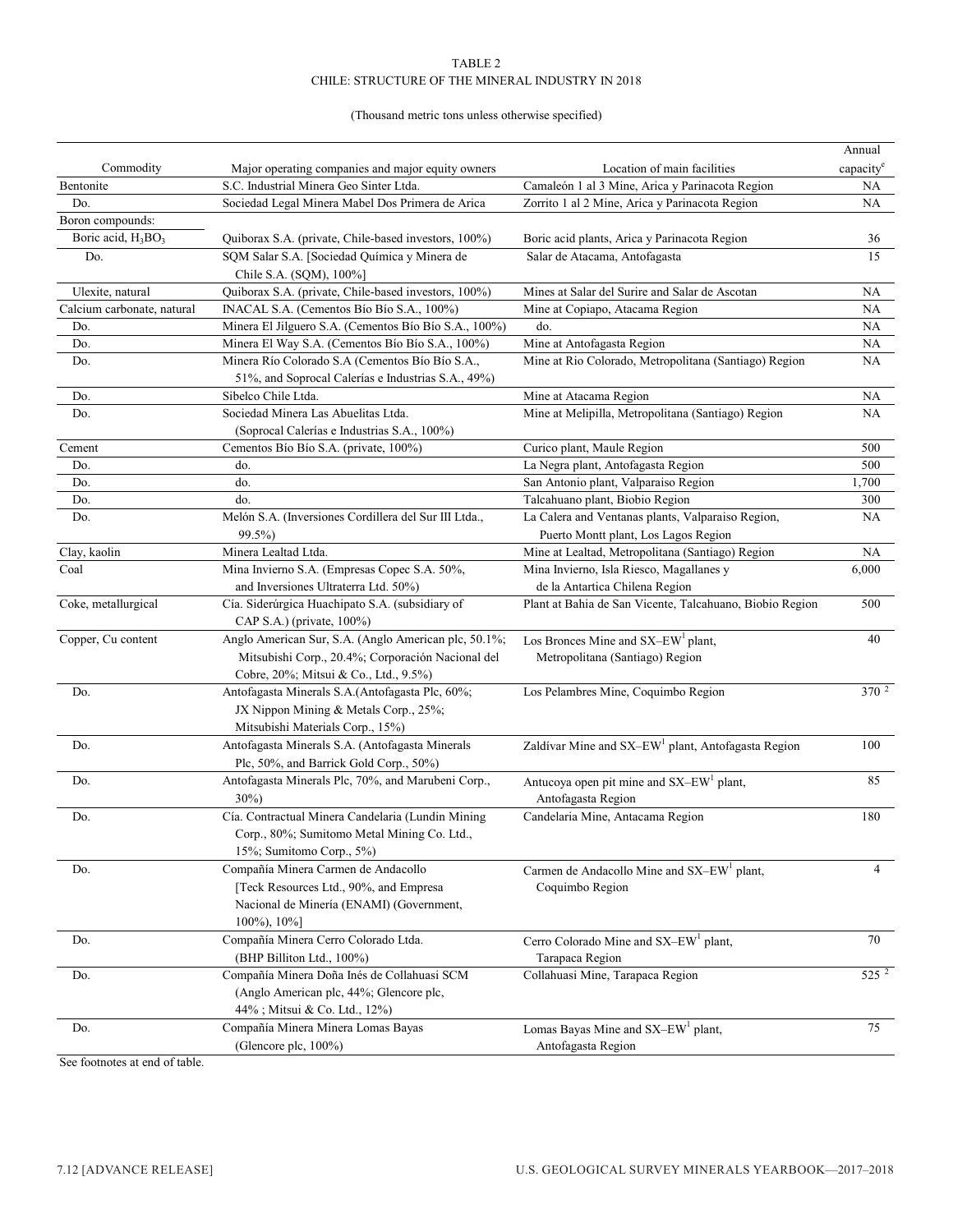#### TABLE 2 CHILE: STRUCTURE OF THE MINERAL INDUSTRY IN 2018

#### (Thousand metric tons unless otherwise specified)

| Commodity<br>Major operating companies and major equity owners<br>Location of main facilities<br>capacity<br>S.C. Industrial Minera Geo Sinter Ltda.<br>Bentonite<br>Camaleón 1 al 3 Mine, Arica y Parinacota Region<br>NA<br>Do.<br>Sociedad Legal Minera Mabel Dos Primera de Arica<br>Zorrito 1 al 2 Mine, Arica y Parinacota Region<br>NA<br>Boron compounds:<br>Boric acid, H <sub>3</sub> BO <sub>3</sub><br>Quiborax S.A. (private, Chile-based investors, 100%)<br>Boric acid plants, Arica y Parinacota Region<br>36<br>SQM Salar S.A. [Sociedad Química y Minera de<br>15<br>Salar de Atacama, Antofagasta<br>Do.<br>Chile S.A. (SQM), 100%]<br>Ulexite, natural<br>Quiborax S.A. (private, Chile-based investors, 100%)<br>Mines at Salar del Surire and Salar de Ascotan<br>NA<br>Calcium carbonate, natural<br>INACAL S.A. (Cementos Bío Bío S.A., 100%)<br>NA<br>Mine at Copiapo, Atacama Region<br>Minera El Jilguero S.A. (Cementos Bío Bío S.A., 100%)<br>do.<br>NA<br>Do.<br>Minera El Way S.A. (Cementos Bío Bío S.A., 100%)<br>Mine at Antofagasta Region<br>Do.<br>NA<br>Mine at Rio Colorado, Metropolitana (Santiago) Region<br>Minera Río Colorado S.A (Cementos Bío Bío S.A.,<br>Do.<br>NA<br>51%, and Soprocal Calerías e Industrias S.A., 49%)<br>Sibelco Chile Ltda.<br>NA<br>Do.<br>Mine at Atacama Region<br>Sociedad Minera Las Abuelitas Ltda.<br>Mine at Melipilla, Metropolitana (Santiago) Region<br>Do.<br>NA<br>(Soprocal Calerías e Industrias S.A., 100%)<br>500<br>Cement<br>Cementos Bío Bío S.A. (private, 100%)<br>Curico plant, Maule Region<br>La Negra plant, Antofagasta Region<br>500<br>Do.<br>do.<br>Do.<br>do.<br>San Antonio plant, Valparaiso Region<br>1,700<br>do.<br>Talcahuano plant, Biobio Region<br>Do.<br>300<br>Melón S.A. (Inversiones Cordillera del Sur III Ltda.,<br>La Calera and Ventanas plants, Valparaiso Region,<br>Do.<br>NА<br>Puerto Montt plant, Los Lagos Region<br>99.5%)<br>Minera Lealtad Ltda.<br>Mine at Lealtad, Metropolitana (Santiago) Region<br>Clay, kaolin<br>NA<br>Coal<br>Mina Invierno S.A. (Empresas Copec S.A. 50%,<br>Mina Invierno, Isla Riesco, Magallanes y<br>6,000<br>and Inversiones Ultraterra Ltd. 50%)<br>de la Antartica Chilena Region<br>500<br>Coke, metallurgical<br>Cía. Siderúrgica Huachipato S.A. (subsidiary of<br>Plant at Bahia de San Vicente, Talcahuano, Biobio Region<br>CAP S.A.) (private, 100%)<br>Copper, Cu content<br>Anglo American Sur, S.A. (Anglo American plc, 50.1%;<br>Los Bronces Mine and SX-EW <sup>1</sup> plant,<br>40<br>Mitsubishi Corp., 20.4%; Corporación Nacional del<br>Metropolitana (Santiago) Region<br>Cobre, 20%; Mitsui & Co., Ltd., 9.5%)<br>370 <sup>2</sup><br>Do.<br>Antofagasta Minerals S.A.(Antofagasta Plc, 60%;<br>Los Pelambres Mine, Coquimbo Region<br>JX Nippon Mining & Metals Corp., 25%;<br>Mitsubishi Materials Corp., 15%)<br>Do.<br>Antofagasta Minerals S.A. (Antofagasta Minerals<br>100<br>Zaldívar Mine and SX-EW <sup>1</sup> plant, Antofagasta Region<br>Plc, 50%, and Barrick Gold Corp., 50%)<br>Antucoya open pit mine and SX-EW <sup>1</sup> plant,<br>Antofagasta Minerals Plc, 70%, and Marubeni Corp.,<br>85<br>Do.<br>$30\%)$<br>Antofagasta Region<br>Cía. Contractual Minera Candelaria (Lundin Mining<br>Candelaria Mine, Antacama Region<br>Do.<br>180<br>Corp., 80%; Sumitomo Metal Mining Co. Ltd.,<br>15%; Sumitomo Corp., 5%)<br>Compañía Minera Carmen de Andacollo<br>4<br>Do.<br>Carmen de Andacollo Mine and SX-EW <sup>1</sup> plant,<br>[Teck Resources Ltd., 90%, and Empresa<br>Coquimbo Region<br>Nacional de Minería (ENAMI) (Government,<br>$100\%$ , $10\%$ ]<br>Compañía Minera Cerro Colorado Ltda.<br>70<br>Do.<br>Cerro Colorado Mine and SX-EW <sup>1</sup> plant,<br>(BHP Billiton Ltd., 100%)<br>Tarapaca Region<br>$525^2$<br>Compañía Minera Doña Inés de Collahuasi SCM<br>Collahuasi Mine, Tarapaca Region<br>Do.<br>(Anglo American plc, 44%; Glencore plc,<br>44%; Mitsui & Co. Ltd., 12%)<br>Compañía Minera Minera Lomas Bayas<br>75<br>Do.<br>Lomas Bayas Mine and SX-EW <sup>1</sup> plant,<br>(Glencore plc, 100%)<br>Antofagasta Region |  | Annual |
|-------------------------------------------------------------------------------------------------------------------------------------------------------------------------------------------------------------------------------------------------------------------------------------------------------------------------------------------------------------------------------------------------------------------------------------------------------------------------------------------------------------------------------------------------------------------------------------------------------------------------------------------------------------------------------------------------------------------------------------------------------------------------------------------------------------------------------------------------------------------------------------------------------------------------------------------------------------------------------------------------------------------------------------------------------------------------------------------------------------------------------------------------------------------------------------------------------------------------------------------------------------------------------------------------------------------------------------------------------------------------------------------------------------------------------------------------------------------------------------------------------------------------------------------------------------------------------------------------------------------------------------------------------------------------------------------------------------------------------------------------------------------------------------------------------------------------------------------------------------------------------------------------------------------------------------------------------------------------------------------------------------------------------------------------------------------------------------------------------------------------------------------------------------------------------------------------------------------------------------------------------------------------------------------------------------------------------------------------------------------------------------------------------------------------------------------------------------------------------------------------------------------------------------------------------------------------------------------------------------------------------------------------------------------------------------------------------------------------------------------------------------------------------------------------------------------------------------------------------------------------------------------------------------------------------------------------------------------------------------------------------------------------------------------------------------------------------------------------------------------------------------------------------------------------------------------------------------------------------------------------------------------------------------------------------------------------------------------------------------------------------------------------------------------------------------------------------------------------------------------------------------------------------------------------------------------------------------------------------------------------------------------------------------------------------------------------------------------------------------------------------------------------------------------------------------------------------------------------------------------------------------------------------------------------------------------------------------------------------------------------------------------------------------------------------------------------------------------------------------------------------------------------------------------------|--|--------|
|                                                                                                                                                                                                                                                                                                                                                                                                                                                                                                                                                                                                                                                                                                                                                                                                                                                                                                                                                                                                                                                                                                                                                                                                                                                                                                                                                                                                                                                                                                                                                                                                                                                                                                                                                                                                                                                                                                                                                                                                                                                                                                                                                                                                                                                                                                                                                                                                                                                                                                                                                                                                                                                                                                                                                                                                                                                                                                                                                                                                                                                                                                                                                                                                                                                                                                                                                                                                                                                                                                                                                                                                                                                                                                                                                                                                                                                                                                                                                                                                                                                                                                                                                                         |  |        |
|                                                                                                                                                                                                                                                                                                                                                                                                                                                                                                                                                                                                                                                                                                                                                                                                                                                                                                                                                                                                                                                                                                                                                                                                                                                                                                                                                                                                                                                                                                                                                                                                                                                                                                                                                                                                                                                                                                                                                                                                                                                                                                                                                                                                                                                                                                                                                                                                                                                                                                                                                                                                                                                                                                                                                                                                                                                                                                                                                                                                                                                                                                                                                                                                                                                                                                                                                                                                                                                                                                                                                                                                                                                                                                                                                                                                                                                                                                                                                                                                                                                                                                                                                                         |  |        |
|                                                                                                                                                                                                                                                                                                                                                                                                                                                                                                                                                                                                                                                                                                                                                                                                                                                                                                                                                                                                                                                                                                                                                                                                                                                                                                                                                                                                                                                                                                                                                                                                                                                                                                                                                                                                                                                                                                                                                                                                                                                                                                                                                                                                                                                                                                                                                                                                                                                                                                                                                                                                                                                                                                                                                                                                                                                                                                                                                                                                                                                                                                                                                                                                                                                                                                                                                                                                                                                                                                                                                                                                                                                                                                                                                                                                                                                                                                                                                                                                                                                                                                                                                                         |  |        |
|                                                                                                                                                                                                                                                                                                                                                                                                                                                                                                                                                                                                                                                                                                                                                                                                                                                                                                                                                                                                                                                                                                                                                                                                                                                                                                                                                                                                                                                                                                                                                                                                                                                                                                                                                                                                                                                                                                                                                                                                                                                                                                                                                                                                                                                                                                                                                                                                                                                                                                                                                                                                                                                                                                                                                                                                                                                                                                                                                                                                                                                                                                                                                                                                                                                                                                                                                                                                                                                                                                                                                                                                                                                                                                                                                                                                                                                                                                                                                                                                                                                                                                                                                                         |  |        |
|                                                                                                                                                                                                                                                                                                                                                                                                                                                                                                                                                                                                                                                                                                                                                                                                                                                                                                                                                                                                                                                                                                                                                                                                                                                                                                                                                                                                                                                                                                                                                                                                                                                                                                                                                                                                                                                                                                                                                                                                                                                                                                                                                                                                                                                                                                                                                                                                                                                                                                                                                                                                                                                                                                                                                                                                                                                                                                                                                                                                                                                                                                                                                                                                                                                                                                                                                                                                                                                                                                                                                                                                                                                                                                                                                                                                                                                                                                                                                                                                                                                                                                                                                                         |  |        |
|                                                                                                                                                                                                                                                                                                                                                                                                                                                                                                                                                                                                                                                                                                                                                                                                                                                                                                                                                                                                                                                                                                                                                                                                                                                                                                                                                                                                                                                                                                                                                                                                                                                                                                                                                                                                                                                                                                                                                                                                                                                                                                                                                                                                                                                                                                                                                                                                                                                                                                                                                                                                                                                                                                                                                                                                                                                                                                                                                                                                                                                                                                                                                                                                                                                                                                                                                                                                                                                                                                                                                                                                                                                                                                                                                                                                                                                                                                                                                                                                                                                                                                                                                                         |  |        |
|                                                                                                                                                                                                                                                                                                                                                                                                                                                                                                                                                                                                                                                                                                                                                                                                                                                                                                                                                                                                                                                                                                                                                                                                                                                                                                                                                                                                                                                                                                                                                                                                                                                                                                                                                                                                                                                                                                                                                                                                                                                                                                                                                                                                                                                                                                                                                                                                                                                                                                                                                                                                                                                                                                                                                                                                                                                                                                                                                                                                                                                                                                                                                                                                                                                                                                                                                                                                                                                                                                                                                                                                                                                                                                                                                                                                                                                                                                                                                                                                                                                                                                                                                                         |  |        |
|                                                                                                                                                                                                                                                                                                                                                                                                                                                                                                                                                                                                                                                                                                                                                                                                                                                                                                                                                                                                                                                                                                                                                                                                                                                                                                                                                                                                                                                                                                                                                                                                                                                                                                                                                                                                                                                                                                                                                                                                                                                                                                                                                                                                                                                                                                                                                                                                                                                                                                                                                                                                                                                                                                                                                                                                                                                                                                                                                                                                                                                                                                                                                                                                                                                                                                                                                                                                                                                                                                                                                                                                                                                                                                                                                                                                                                                                                                                                                                                                                                                                                                                                                                         |  |        |
|                                                                                                                                                                                                                                                                                                                                                                                                                                                                                                                                                                                                                                                                                                                                                                                                                                                                                                                                                                                                                                                                                                                                                                                                                                                                                                                                                                                                                                                                                                                                                                                                                                                                                                                                                                                                                                                                                                                                                                                                                                                                                                                                                                                                                                                                                                                                                                                                                                                                                                                                                                                                                                                                                                                                                                                                                                                                                                                                                                                                                                                                                                                                                                                                                                                                                                                                                                                                                                                                                                                                                                                                                                                                                                                                                                                                                                                                                                                                                                                                                                                                                                                                                                         |  |        |
|                                                                                                                                                                                                                                                                                                                                                                                                                                                                                                                                                                                                                                                                                                                                                                                                                                                                                                                                                                                                                                                                                                                                                                                                                                                                                                                                                                                                                                                                                                                                                                                                                                                                                                                                                                                                                                                                                                                                                                                                                                                                                                                                                                                                                                                                                                                                                                                                                                                                                                                                                                                                                                                                                                                                                                                                                                                                                                                                                                                                                                                                                                                                                                                                                                                                                                                                                                                                                                                                                                                                                                                                                                                                                                                                                                                                                                                                                                                                                                                                                                                                                                                                                                         |  |        |
|                                                                                                                                                                                                                                                                                                                                                                                                                                                                                                                                                                                                                                                                                                                                                                                                                                                                                                                                                                                                                                                                                                                                                                                                                                                                                                                                                                                                                                                                                                                                                                                                                                                                                                                                                                                                                                                                                                                                                                                                                                                                                                                                                                                                                                                                                                                                                                                                                                                                                                                                                                                                                                                                                                                                                                                                                                                                                                                                                                                                                                                                                                                                                                                                                                                                                                                                                                                                                                                                                                                                                                                                                                                                                                                                                                                                                                                                                                                                                                                                                                                                                                                                                                         |  |        |
|                                                                                                                                                                                                                                                                                                                                                                                                                                                                                                                                                                                                                                                                                                                                                                                                                                                                                                                                                                                                                                                                                                                                                                                                                                                                                                                                                                                                                                                                                                                                                                                                                                                                                                                                                                                                                                                                                                                                                                                                                                                                                                                                                                                                                                                                                                                                                                                                                                                                                                                                                                                                                                                                                                                                                                                                                                                                                                                                                                                                                                                                                                                                                                                                                                                                                                                                                                                                                                                                                                                                                                                                                                                                                                                                                                                                                                                                                                                                                                                                                                                                                                                                                                         |  |        |
|                                                                                                                                                                                                                                                                                                                                                                                                                                                                                                                                                                                                                                                                                                                                                                                                                                                                                                                                                                                                                                                                                                                                                                                                                                                                                                                                                                                                                                                                                                                                                                                                                                                                                                                                                                                                                                                                                                                                                                                                                                                                                                                                                                                                                                                                                                                                                                                                                                                                                                                                                                                                                                                                                                                                                                                                                                                                                                                                                                                                                                                                                                                                                                                                                                                                                                                                                                                                                                                                                                                                                                                                                                                                                                                                                                                                                                                                                                                                                                                                                                                                                                                                                                         |  |        |
|                                                                                                                                                                                                                                                                                                                                                                                                                                                                                                                                                                                                                                                                                                                                                                                                                                                                                                                                                                                                                                                                                                                                                                                                                                                                                                                                                                                                                                                                                                                                                                                                                                                                                                                                                                                                                                                                                                                                                                                                                                                                                                                                                                                                                                                                                                                                                                                                                                                                                                                                                                                                                                                                                                                                                                                                                                                                                                                                                                                                                                                                                                                                                                                                                                                                                                                                                                                                                                                                                                                                                                                                                                                                                                                                                                                                                                                                                                                                                                                                                                                                                                                                                                         |  |        |
|                                                                                                                                                                                                                                                                                                                                                                                                                                                                                                                                                                                                                                                                                                                                                                                                                                                                                                                                                                                                                                                                                                                                                                                                                                                                                                                                                                                                                                                                                                                                                                                                                                                                                                                                                                                                                                                                                                                                                                                                                                                                                                                                                                                                                                                                                                                                                                                                                                                                                                                                                                                                                                                                                                                                                                                                                                                                                                                                                                                                                                                                                                                                                                                                                                                                                                                                                                                                                                                                                                                                                                                                                                                                                                                                                                                                                                                                                                                                                                                                                                                                                                                                                                         |  |        |
|                                                                                                                                                                                                                                                                                                                                                                                                                                                                                                                                                                                                                                                                                                                                                                                                                                                                                                                                                                                                                                                                                                                                                                                                                                                                                                                                                                                                                                                                                                                                                                                                                                                                                                                                                                                                                                                                                                                                                                                                                                                                                                                                                                                                                                                                                                                                                                                                                                                                                                                                                                                                                                                                                                                                                                                                                                                                                                                                                                                                                                                                                                                                                                                                                                                                                                                                                                                                                                                                                                                                                                                                                                                                                                                                                                                                                                                                                                                                                                                                                                                                                                                                                                         |  |        |
|                                                                                                                                                                                                                                                                                                                                                                                                                                                                                                                                                                                                                                                                                                                                                                                                                                                                                                                                                                                                                                                                                                                                                                                                                                                                                                                                                                                                                                                                                                                                                                                                                                                                                                                                                                                                                                                                                                                                                                                                                                                                                                                                                                                                                                                                                                                                                                                                                                                                                                                                                                                                                                                                                                                                                                                                                                                                                                                                                                                                                                                                                                                                                                                                                                                                                                                                                                                                                                                                                                                                                                                                                                                                                                                                                                                                                                                                                                                                                                                                                                                                                                                                                                         |  |        |
|                                                                                                                                                                                                                                                                                                                                                                                                                                                                                                                                                                                                                                                                                                                                                                                                                                                                                                                                                                                                                                                                                                                                                                                                                                                                                                                                                                                                                                                                                                                                                                                                                                                                                                                                                                                                                                                                                                                                                                                                                                                                                                                                                                                                                                                                                                                                                                                                                                                                                                                                                                                                                                                                                                                                                                                                                                                                                                                                                                                                                                                                                                                                                                                                                                                                                                                                                                                                                                                                                                                                                                                                                                                                                                                                                                                                                                                                                                                                                                                                                                                                                                                                                                         |  |        |
|                                                                                                                                                                                                                                                                                                                                                                                                                                                                                                                                                                                                                                                                                                                                                                                                                                                                                                                                                                                                                                                                                                                                                                                                                                                                                                                                                                                                                                                                                                                                                                                                                                                                                                                                                                                                                                                                                                                                                                                                                                                                                                                                                                                                                                                                                                                                                                                                                                                                                                                                                                                                                                                                                                                                                                                                                                                                                                                                                                                                                                                                                                                                                                                                                                                                                                                                                                                                                                                                                                                                                                                                                                                                                                                                                                                                                                                                                                                                                                                                                                                                                                                                                                         |  |        |
|                                                                                                                                                                                                                                                                                                                                                                                                                                                                                                                                                                                                                                                                                                                                                                                                                                                                                                                                                                                                                                                                                                                                                                                                                                                                                                                                                                                                                                                                                                                                                                                                                                                                                                                                                                                                                                                                                                                                                                                                                                                                                                                                                                                                                                                                                                                                                                                                                                                                                                                                                                                                                                                                                                                                                                                                                                                                                                                                                                                                                                                                                                                                                                                                                                                                                                                                                                                                                                                                                                                                                                                                                                                                                                                                                                                                                                                                                                                                                                                                                                                                                                                                                                         |  |        |
|                                                                                                                                                                                                                                                                                                                                                                                                                                                                                                                                                                                                                                                                                                                                                                                                                                                                                                                                                                                                                                                                                                                                                                                                                                                                                                                                                                                                                                                                                                                                                                                                                                                                                                                                                                                                                                                                                                                                                                                                                                                                                                                                                                                                                                                                                                                                                                                                                                                                                                                                                                                                                                                                                                                                                                                                                                                                                                                                                                                                                                                                                                                                                                                                                                                                                                                                                                                                                                                                                                                                                                                                                                                                                                                                                                                                                                                                                                                                                                                                                                                                                                                                                                         |  |        |
|                                                                                                                                                                                                                                                                                                                                                                                                                                                                                                                                                                                                                                                                                                                                                                                                                                                                                                                                                                                                                                                                                                                                                                                                                                                                                                                                                                                                                                                                                                                                                                                                                                                                                                                                                                                                                                                                                                                                                                                                                                                                                                                                                                                                                                                                                                                                                                                                                                                                                                                                                                                                                                                                                                                                                                                                                                                                                                                                                                                                                                                                                                                                                                                                                                                                                                                                                                                                                                                                                                                                                                                                                                                                                                                                                                                                                                                                                                                                                                                                                                                                                                                                                                         |  |        |
|                                                                                                                                                                                                                                                                                                                                                                                                                                                                                                                                                                                                                                                                                                                                                                                                                                                                                                                                                                                                                                                                                                                                                                                                                                                                                                                                                                                                                                                                                                                                                                                                                                                                                                                                                                                                                                                                                                                                                                                                                                                                                                                                                                                                                                                                                                                                                                                                                                                                                                                                                                                                                                                                                                                                                                                                                                                                                                                                                                                                                                                                                                                                                                                                                                                                                                                                                                                                                                                                                                                                                                                                                                                                                                                                                                                                                                                                                                                                                                                                                                                                                                                                                                         |  |        |
|                                                                                                                                                                                                                                                                                                                                                                                                                                                                                                                                                                                                                                                                                                                                                                                                                                                                                                                                                                                                                                                                                                                                                                                                                                                                                                                                                                                                                                                                                                                                                                                                                                                                                                                                                                                                                                                                                                                                                                                                                                                                                                                                                                                                                                                                                                                                                                                                                                                                                                                                                                                                                                                                                                                                                                                                                                                                                                                                                                                                                                                                                                                                                                                                                                                                                                                                                                                                                                                                                                                                                                                                                                                                                                                                                                                                                                                                                                                                                                                                                                                                                                                                                                         |  |        |
|                                                                                                                                                                                                                                                                                                                                                                                                                                                                                                                                                                                                                                                                                                                                                                                                                                                                                                                                                                                                                                                                                                                                                                                                                                                                                                                                                                                                                                                                                                                                                                                                                                                                                                                                                                                                                                                                                                                                                                                                                                                                                                                                                                                                                                                                                                                                                                                                                                                                                                                                                                                                                                                                                                                                                                                                                                                                                                                                                                                                                                                                                                                                                                                                                                                                                                                                                                                                                                                                                                                                                                                                                                                                                                                                                                                                                                                                                                                                                                                                                                                                                                                                                                         |  |        |
|                                                                                                                                                                                                                                                                                                                                                                                                                                                                                                                                                                                                                                                                                                                                                                                                                                                                                                                                                                                                                                                                                                                                                                                                                                                                                                                                                                                                                                                                                                                                                                                                                                                                                                                                                                                                                                                                                                                                                                                                                                                                                                                                                                                                                                                                                                                                                                                                                                                                                                                                                                                                                                                                                                                                                                                                                                                                                                                                                                                                                                                                                                                                                                                                                                                                                                                                                                                                                                                                                                                                                                                                                                                                                                                                                                                                                                                                                                                                                                                                                                                                                                                                                                         |  |        |
|                                                                                                                                                                                                                                                                                                                                                                                                                                                                                                                                                                                                                                                                                                                                                                                                                                                                                                                                                                                                                                                                                                                                                                                                                                                                                                                                                                                                                                                                                                                                                                                                                                                                                                                                                                                                                                                                                                                                                                                                                                                                                                                                                                                                                                                                                                                                                                                                                                                                                                                                                                                                                                                                                                                                                                                                                                                                                                                                                                                                                                                                                                                                                                                                                                                                                                                                                                                                                                                                                                                                                                                                                                                                                                                                                                                                                                                                                                                                                                                                                                                                                                                                                                         |  |        |
|                                                                                                                                                                                                                                                                                                                                                                                                                                                                                                                                                                                                                                                                                                                                                                                                                                                                                                                                                                                                                                                                                                                                                                                                                                                                                                                                                                                                                                                                                                                                                                                                                                                                                                                                                                                                                                                                                                                                                                                                                                                                                                                                                                                                                                                                                                                                                                                                                                                                                                                                                                                                                                                                                                                                                                                                                                                                                                                                                                                                                                                                                                                                                                                                                                                                                                                                                                                                                                                                                                                                                                                                                                                                                                                                                                                                                                                                                                                                                                                                                                                                                                                                                                         |  |        |
|                                                                                                                                                                                                                                                                                                                                                                                                                                                                                                                                                                                                                                                                                                                                                                                                                                                                                                                                                                                                                                                                                                                                                                                                                                                                                                                                                                                                                                                                                                                                                                                                                                                                                                                                                                                                                                                                                                                                                                                                                                                                                                                                                                                                                                                                                                                                                                                                                                                                                                                                                                                                                                                                                                                                                                                                                                                                                                                                                                                                                                                                                                                                                                                                                                                                                                                                                                                                                                                                                                                                                                                                                                                                                                                                                                                                                                                                                                                                                                                                                                                                                                                                                                         |  |        |
|                                                                                                                                                                                                                                                                                                                                                                                                                                                                                                                                                                                                                                                                                                                                                                                                                                                                                                                                                                                                                                                                                                                                                                                                                                                                                                                                                                                                                                                                                                                                                                                                                                                                                                                                                                                                                                                                                                                                                                                                                                                                                                                                                                                                                                                                                                                                                                                                                                                                                                                                                                                                                                                                                                                                                                                                                                                                                                                                                                                                                                                                                                                                                                                                                                                                                                                                                                                                                                                                                                                                                                                                                                                                                                                                                                                                                                                                                                                                                                                                                                                                                                                                                                         |  |        |
|                                                                                                                                                                                                                                                                                                                                                                                                                                                                                                                                                                                                                                                                                                                                                                                                                                                                                                                                                                                                                                                                                                                                                                                                                                                                                                                                                                                                                                                                                                                                                                                                                                                                                                                                                                                                                                                                                                                                                                                                                                                                                                                                                                                                                                                                                                                                                                                                                                                                                                                                                                                                                                                                                                                                                                                                                                                                                                                                                                                                                                                                                                                                                                                                                                                                                                                                                                                                                                                                                                                                                                                                                                                                                                                                                                                                                                                                                                                                                                                                                                                                                                                                                                         |  |        |
|                                                                                                                                                                                                                                                                                                                                                                                                                                                                                                                                                                                                                                                                                                                                                                                                                                                                                                                                                                                                                                                                                                                                                                                                                                                                                                                                                                                                                                                                                                                                                                                                                                                                                                                                                                                                                                                                                                                                                                                                                                                                                                                                                                                                                                                                                                                                                                                                                                                                                                                                                                                                                                                                                                                                                                                                                                                                                                                                                                                                                                                                                                                                                                                                                                                                                                                                                                                                                                                                                                                                                                                                                                                                                                                                                                                                                                                                                                                                                                                                                                                                                                                                                                         |  |        |
|                                                                                                                                                                                                                                                                                                                                                                                                                                                                                                                                                                                                                                                                                                                                                                                                                                                                                                                                                                                                                                                                                                                                                                                                                                                                                                                                                                                                                                                                                                                                                                                                                                                                                                                                                                                                                                                                                                                                                                                                                                                                                                                                                                                                                                                                                                                                                                                                                                                                                                                                                                                                                                                                                                                                                                                                                                                                                                                                                                                                                                                                                                                                                                                                                                                                                                                                                                                                                                                                                                                                                                                                                                                                                                                                                                                                                                                                                                                                                                                                                                                                                                                                                                         |  |        |
|                                                                                                                                                                                                                                                                                                                                                                                                                                                                                                                                                                                                                                                                                                                                                                                                                                                                                                                                                                                                                                                                                                                                                                                                                                                                                                                                                                                                                                                                                                                                                                                                                                                                                                                                                                                                                                                                                                                                                                                                                                                                                                                                                                                                                                                                                                                                                                                                                                                                                                                                                                                                                                                                                                                                                                                                                                                                                                                                                                                                                                                                                                                                                                                                                                                                                                                                                                                                                                                                                                                                                                                                                                                                                                                                                                                                                                                                                                                                                                                                                                                                                                                                                                         |  |        |
|                                                                                                                                                                                                                                                                                                                                                                                                                                                                                                                                                                                                                                                                                                                                                                                                                                                                                                                                                                                                                                                                                                                                                                                                                                                                                                                                                                                                                                                                                                                                                                                                                                                                                                                                                                                                                                                                                                                                                                                                                                                                                                                                                                                                                                                                                                                                                                                                                                                                                                                                                                                                                                                                                                                                                                                                                                                                                                                                                                                                                                                                                                                                                                                                                                                                                                                                                                                                                                                                                                                                                                                                                                                                                                                                                                                                                                                                                                                                                                                                                                                                                                                                                                         |  |        |
|                                                                                                                                                                                                                                                                                                                                                                                                                                                                                                                                                                                                                                                                                                                                                                                                                                                                                                                                                                                                                                                                                                                                                                                                                                                                                                                                                                                                                                                                                                                                                                                                                                                                                                                                                                                                                                                                                                                                                                                                                                                                                                                                                                                                                                                                                                                                                                                                                                                                                                                                                                                                                                                                                                                                                                                                                                                                                                                                                                                                                                                                                                                                                                                                                                                                                                                                                                                                                                                                                                                                                                                                                                                                                                                                                                                                                                                                                                                                                                                                                                                                                                                                                                         |  |        |
|                                                                                                                                                                                                                                                                                                                                                                                                                                                                                                                                                                                                                                                                                                                                                                                                                                                                                                                                                                                                                                                                                                                                                                                                                                                                                                                                                                                                                                                                                                                                                                                                                                                                                                                                                                                                                                                                                                                                                                                                                                                                                                                                                                                                                                                                                                                                                                                                                                                                                                                                                                                                                                                                                                                                                                                                                                                                                                                                                                                                                                                                                                                                                                                                                                                                                                                                                                                                                                                                                                                                                                                                                                                                                                                                                                                                                                                                                                                                                                                                                                                                                                                                                                         |  |        |
|                                                                                                                                                                                                                                                                                                                                                                                                                                                                                                                                                                                                                                                                                                                                                                                                                                                                                                                                                                                                                                                                                                                                                                                                                                                                                                                                                                                                                                                                                                                                                                                                                                                                                                                                                                                                                                                                                                                                                                                                                                                                                                                                                                                                                                                                                                                                                                                                                                                                                                                                                                                                                                                                                                                                                                                                                                                                                                                                                                                                                                                                                                                                                                                                                                                                                                                                                                                                                                                                                                                                                                                                                                                                                                                                                                                                                                                                                                                                                                                                                                                                                                                                                                         |  |        |
|                                                                                                                                                                                                                                                                                                                                                                                                                                                                                                                                                                                                                                                                                                                                                                                                                                                                                                                                                                                                                                                                                                                                                                                                                                                                                                                                                                                                                                                                                                                                                                                                                                                                                                                                                                                                                                                                                                                                                                                                                                                                                                                                                                                                                                                                                                                                                                                                                                                                                                                                                                                                                                                                                                                                                                                                                                                                                                                                                                                                                                                                                                                                                                                                                                                                                                                                                                                                                                                                                                                                                                                                                                                                                                                                                                                                                                                                                                                                                                                                                                                                                                                                                                         |  |        |
|                                                                                                                                                                                                                                                                                                                                                                                                                                                                                                                                                                                                                                                                                                                                                                                                                                                                                                                                                                                                                                                                                                                                                                                                                                                                                                                                                                                                                                                                                                                                                                                                                                                                                                                                                                                                                                                                                                                                                                                                                                                                                                                                                                                                                                                                                                                                                                                                                                                                                                                                                                                                                                                                                                                                                                                                                                                                                                                                                                                                                                                                                                                                                                                                                                                                                                                                                                                                                                                                                                                                                                                                                                                                                                                                                                                                                                                                                                                                                                                                                                                                                                                                                                         |  |        |
|                                                                                                                                                                                                                                                                                                                                                                                                                                                                                                                                                                                                                                                                                                                                                                                                                                                                                                                                                                                                                                                                                                                                                                                                                                                                                                                                                                                                                                                                                                                                                                                                                                                                                                                                                                                                                                                                                                                                                                                                                                                                                                                                                                                                                                                                                                                                                                                                                                                                                                                                                                                                                                                                                                                                                                                                                                                                                                                                                                                                                                                                                                                                                                                                                                                                                                                                                                                                                                                                                                                                                                                                                                                                                                                                                                                                                                                                                                                                                                                                                                                                                                                                                                         |  |        |
|                                                                                                                                                                                                                                                                                                                                                                                                                                                                                                                                                                                                                                                                                                                                                                                                                                                                                                                                                                                                                                                                                                                                                                                                                                                                                                                                                                                                                                                                                                                                                                                                                                                                                                                                                                                                                                                                                                                                                                                                                                                                                                                                                                                                                                                                                                                                                                                                                                                                                                                                                                                                                                                                                                                                                                                                                                                                                                                                                                                                                                                                                                                                                                                                                                                                                                                                                                                                                                                                                                                                                                                                                                                                                                                                                                                                                                                                                                                                                                                                                                                                                                                                                                         |  |        |
|                                                                                                                                                                                                                                                                                                                                                                                                                                                                                                                                                                                                                                                                                                                                                                                                                                                                                                                                                                                                                                                                                                                                                                                                                                                                                                                                                                                                                                                                                                                                                                                                                                                                                                                                                                                                                                                                                                                                                                                                                                                                                                                                                                                                                                                                                                                                                                                                                                                                                                                                                                                                                                                                                                                                                                                                                                                                                                                                                                                                                                                                                                                                                                                                                                                                                                                                                                                                                                                                                                                                                                                                                                                                                                                                                                                                                                                                                                                                                                                                                                                                                                                                                                         |  |        |
|                                                                                                                                                                                                                                                                                                                                                                                                                                                                                                                                                                                                                                                                                                                                                                                                                                                                                                                                                                                                                                                                                                                                                                                                                                                                                                                                                                                                                                                                                                                                                                                                                                                                                                                                                                                                                                                                                                                                                                                                                                                                                                                                                                                                                                                                                                                                                                                                                                                                                                                                                                                                                                                                                                                                                                                                                                                                                                                                                                                                                                                                                                                                                                                                                                                                                                                                                                                                                                                                                                                                                                                                                                                                                                                                                                                                                                                                                                                                                                                                                                                                                                                                                                         |  |        |
|                                                                                                                                                                                                                                                                                                                                                                                                                                                                                                                                                                                                                                                                                                                                                                                                                                                                                                                                                                                                                                                                                                                                                                                                                                                                                                                                                                                                                                                                                                                                                                                                                                                                                                                                                                                                                                                                                                                                                                                                                                                                                                                                                                                                                                                                                                                                                                                                                                                                                                                                                                                                                                                                                                                                                                                                                                                                                                                                                                                                                                                                                                                                                                                                                                                                                                                                                                                                                                                                                                                                                                                                                                                                                                                                                                                                                                                                                                                                                                                                                                                                                                                                                                         |  |        |
|                                                                                                                                                                                                                                                                                                                                                                                                                                                                                                                                                                                                                                                                                                                                                                                                                                                                                                                                                                                                                                                                                                                                                                                                                                                                                                                                                                                                                                                                                                                                                                                                                                                                                                                                                                                                                                                                                                                                                                                                                                                                                                                                                                                                                                                                                                                                                                                                                                                                                                                                                                                                                                                                                                                                                                                                                                                                                                                                                                                                                                                                                                                                                                                                                                                                                                                                                                                                                                                                                                                                                                                                                                                                                                                                                                                                                                                                                                                                                                                                                                                                                                                                                                         |  |        |
|                                                                                                                                                                                                                                                                                                                                                                                                                                                                                                                                                                                                                                                                                                                                                                                                                                                                                                                                                                                                                                                                                                                                                                                                                                                                                                                                                                                                                                                                                                                                                                                                                                                                                                                                                                                                                                                                                                                                                                                                                                                                                                                                                                                                                                                                                                                                                                                                                                                                                                                                                                                                                                                                                                                                                                                                                                                                                                                                                                                                                                                                                                                                                                                                                                                                                                                                                                                                                                                                                                                                                                                                                                                                                                                                                                                                                                                                                                                                                                                                                                                                                                                                                                         |  |        |
|                                                                                                                                                                                                                                                                                                                                                                                                                                                                                                                                                                                                                                                                                                                                                                                                                                                                                                                                                                                                                                                                                                                                                                                                                                                                                                                                                                                                                                                                                                                                                                                                                                                                                                                                                                                                                                                                                                                                                                                                                                                                                                                                                                                                                                                                                                                                                                                                                                                                                                                                                                                                                                                                                                                                                                                                                                                                                                                                                                                                                                                                                                                                                                                                                                                                                                                                                                                                                                                                                                                                                                                                                                                                                                                                                                                                                                                                                                                                                                                                                                                                                                                                                                         |  |        |
|                                                                                                                                                                                                                                                                                                                                                                                                                                                                                                                                                                                                                                                                                                                                                                                                                                                                                                                                                                                                                                                                                                                                                                                                                                                                                                                                                                                                                                                                                                                                                                                                                                                                                                                                                                                                                                                                                                                                                                                                                                                                                                                                                                                                                                                                                                                                                                                                                                                                                                                                                                                                                                                                                                                                                                                                                                                                                                                                                                                                                                                                                                                                                                                                                                                                                                                                                                                                                                                                                                                                                                                                                                                                                                                                                                                                                                                                                                                                                                                                                                                                                                                                                                         |  |        |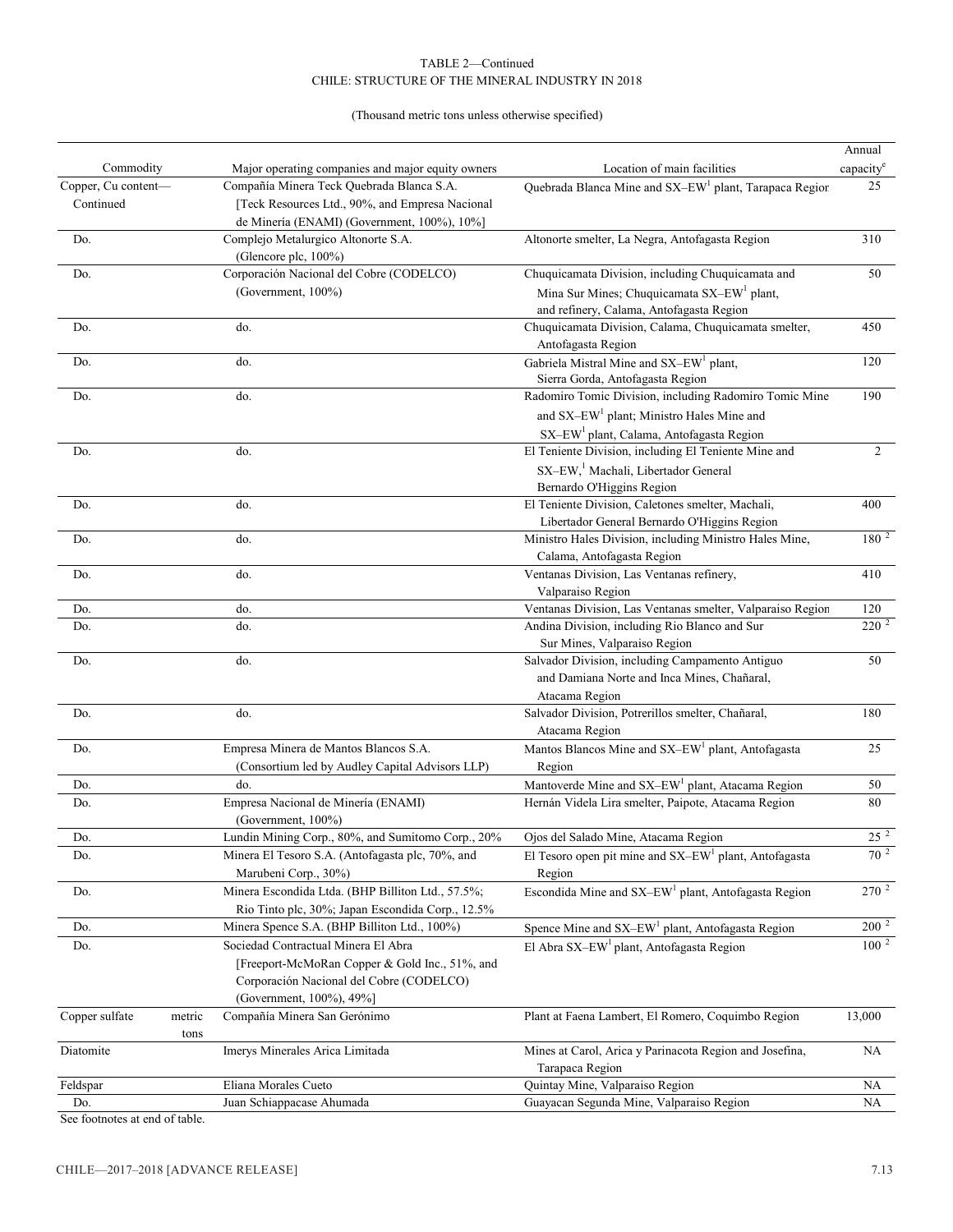#### TABLE 2—Continued CHILE: STRUCTURE OF THE MINERAL INDUSTRY IN 2018

(Thousand metric tons unless otherwise specified)

|                     |        |                                                             |                                                                         | Annual                |
|---------------------|--------|-------------------------------------------------------------|-------------------------------------------------------------------------|-----------------------|
| Commodity           |        | Major operating companies and major equity owners           | Location of main facilities                                             | capacity <sup>e</sup> |
| Copper, Cu content- |        | Compañía Minera Teck Quebrada Blanca S.A.                   | Quebrada Blanca Mine and SX-EW <sup>1</sup> plant, Tarapaca Region      | 25                    |
| Continued           |        | [Teck Resources Ltd., 90%, and Empresa Nacional             |                                                                         |                       |
|                     |        | de Minería (ENAMI) (Government, 100%), 10%]                 |                                                                         |                       |
| Do.                 |        | Complejo Metalurgico Altonorte S.A.<br>(Glencore plc, 100%) | Altonorte smelter, La Negra, Antofagasta Region                         | 310                   |
| Do.                 |        | Corporación Nacional del Cobre (CODELCO)                    | Chuquicamata Division, including Chuquicamata and                       | 50                    |
|                     |        | (Government, 100%)                                          | Mina Sur Mines; Chuquicamata SX-EW <sup>1</sup> plant,                  |                       |
|                     |        |                                                             | and refinery, Calama, Antofagasta Region                                |                       |
| Do.                 |        | do.                                                         | Chuquicamata Division, Calama, Chuquicamata smelter,                    | 450                   |
|                     |        |                                                             | Antofagasta Region                                                      |                       |
| Do.                 |        | do.                                                         | Gabriela Mistral Mine and SX-EW <sup>1</sup> plant,                     | 120                   |
|                     |        |                                                             | Sierra Gorda, Antofagasta Region                                        |                       |
| Do.                 |        | do.                                                         | Radomiro Tomic Division, including Radomiro Tomic Mine                  | 190                   |
|                     |        |                                                             | and SX-EW <sup>1</sup> plant; Ministro Hales Mine and                   |                       |
|                     |        |                                                             | SX-EW <sup>1</sup> plant, Calama, Antofagasta Region                    |                       |
| Do.                 |        | do.                                                         | El Teniente Division, including El Teniente Mine and                    | $\overline{2}$        |
|                     |        |                                                             | SX-EW, <sup>1</sup> Machali, Libertador General                         |                       |
|                     |        |                                                             | Bernardo O'Higgins Region                                               |                       |
| Do.                 |        | do.                                                         | El Teniente Division, Caletones smelter, Machali,                       | 400                   |
|                     |        |                                                             | Libertador General Bernardo O'Higgins Region                            |                       |
| Do.                 |        | do.                                                         | Ministro Hales Division, including Ministro Hales Mine,                 | $180^{2}$             |
|                     |        |                                                             | Calama, Antofagasta Region                                              |                       |
| Do.                 |        | do.                                                         | Ventanas Division, Las Ventanas refinery,                               | 410                   |
|                     |        |                                                             | Valparaiso Region                                                       |                       |
| Do.                 |        | do.                                                         | Ventanas Division, Las Ventanas smelter, Valparaiso Region              | 120                   |
| Do.                 |        | do.                                                         | Andina Division, including Rio Blanco and Sur                           | $220^2$               |
|                     |        |                                                             | Sur Mines, Valparaiso Region                                            |                       |
| Do.                 |        | do.                                                         | Salvador Division, including Campamento Antiguo                         | 50                    |
|                     |        |                                                             | and Damiana Norte and Inca Mines, Chañaral,                             |                       |
|                     |        |                                                             | Atacama Region                                                          |                       |
| Do.                 |        | do.                                                         | Salvador Division, Potrerillos smelter, Chañaral,                       | 180                   |
|                     |        |                                                             | Atacama Region                                                          |                       |
| Do.                 |        | Empresa Minera de Mantos Blancos S.A.                       | Mantos Blancos Mine and SX-EW <sup>1</sup> plant, Antofagasta           | 25                    |
|                     |        | (Consortium led by Audley Capital Advisors LLP)             | Region                                                                  |                       |
| Do.                 |        | do.                                                         | Mantoverde Mine and SX-EW <sup>1</sup> plant, Atacama Region            | 50                    |
| Do.                 |        | Empresa Nacional de Minería (ENAMI)                         | Hernán Videla Lira smelter, Paipote, Atacama Region                     | 80                    |
|                     |        | (Government, 100%)                                          |                                                                         |                       |
| Do.                 |        | Lundin Mining Corp., 80%, and Sumitomo Corp., 20%           | Ojos del Salado Mine, Atacama Region                                    | $25^{2}$              |
| Do.                 |        | Minera El Tesoro S.A. (Antofagasta plc, 70%, and            | El Tesoro open pit mine and $SX$ – $EW$ <sup>1</sup> plant, Antofagasta | 70 $^2$               |
|                     |        | Marubeni Corp., 30%)                                        | Region                                                                  |                       |
| Do.                 |        | Minera Escondida Ltda. (BHP Billiton Ltd., 57.5%;           | Escondida Mine and SX-EW <sup>1</sup> plant, Antofagasta Region         | $270^{2}$             |
|                     |        | Rio Tinto plc, 30%; Japan Escondida Corp., 12.5%            |                                                                         |                       |
| Do.                 |        | Minera Spence S.A. (BHP Billiton Ltd., 100%)                | Spence Mine and $SX$ -EW <sup>1</sup> plant, Antofagasta Region         | $200^2$               |
| Do.                 |        | Sociedad Contractual Minera El Abra                         | El Abra SX-EW <sup>1</sup> plant, Antofagasta Region                    | $100^{2}$             |
|                     |        | [Freeport-McMoRan Copper & Gold Inc., 51%, and              |                                                                         |                       |
|                     |        | Corporación Nacional del Cobre (CODELCO)                    |                                                                         |                       |
|                     |        | (Government, 100%), 49%]                                    |                                                                         |                       |
| Copper sulfate      | metric | Compañía Minera San Gerónimo                                | Plant at Faena Lambert, El Romero, Coquimbo Region                      | 13,000                |
|                     | tons   |                                                             |                                                                         |                       |
| Diatomite           |        | Imerys Minerales Arica Limitada                             | Mines at Carol, Arica y Parinacota Region and Josefina,                 | NA                    |
|                     |        |                                                             | Tarapaca Region                                                         |                       |
| Feldspar            |        | Eliana Morales Cueto                                        | Quintay Mine, Valparaiso Region                                         | NA                    |
| Do.                 |        | Juan Schiappacase Ahumada                                   | Guayacan Segunda Mine, Valparaiso Region                                | NA                    |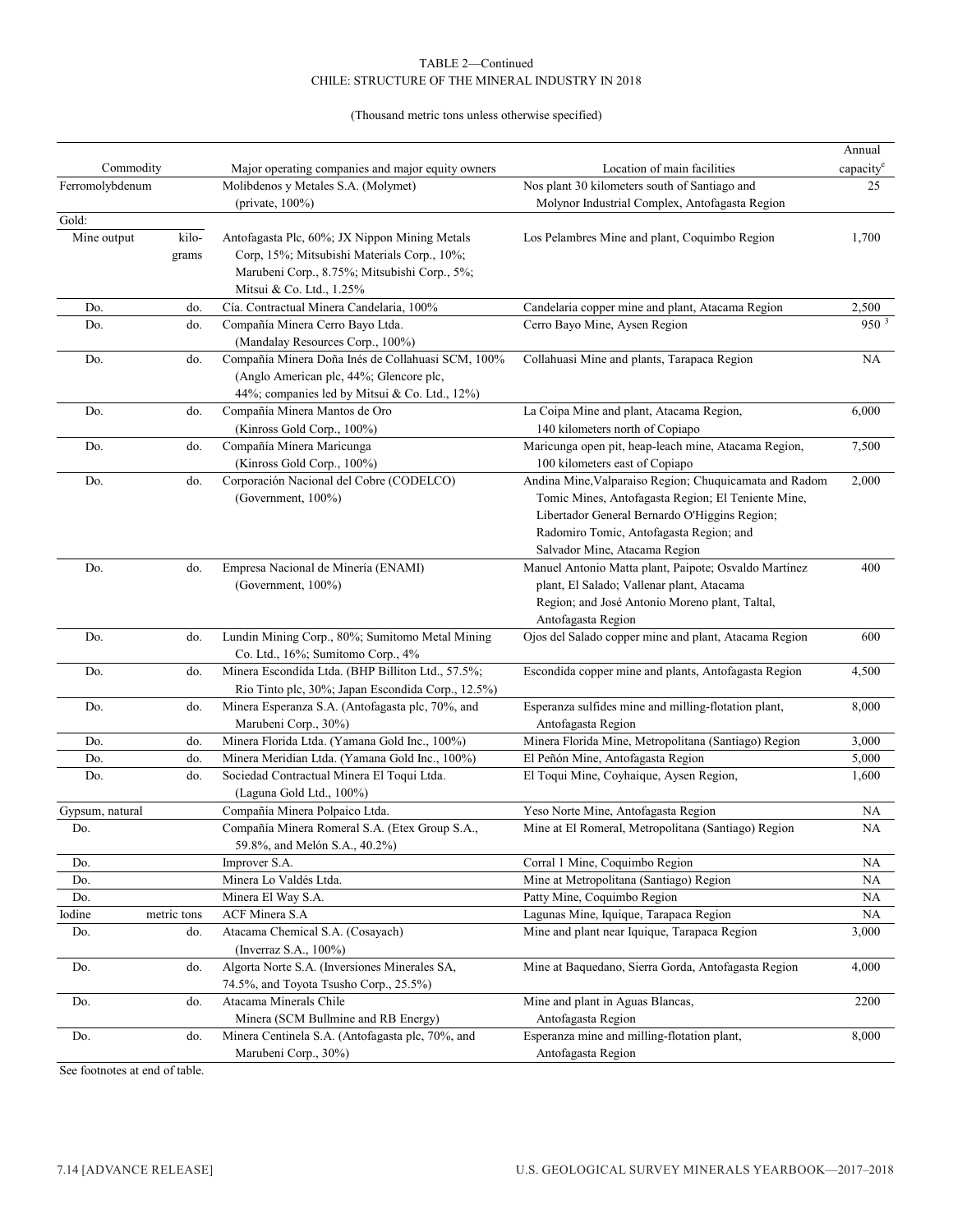#### CHILE: STRUCTURE OF THE MINERAL INDUSTRY IN 2018 TABLE 2—Continued

(Thousand metric tons unless otherwise specified)

|                 |             |                                                   |                                                                          | Annual                |
|-----------------|-------------|---------------------------------------------------|--------------------------------------------------------------------------|-----------------------|
| Commodity       |             | Major operating companies and major equity owners | Location of main facilities                                              | capacity <sup>e</sup> |
| Ferromolybdenum |             | Molibdenos y Metales S.A. (Molymet)               | Nos plant 30 kilometers south of Santiago and                            | 25                    |
|                 |             | (private, $100\%$ )                               | Molynor Industrial Complex, Antofagasta Region                           |                       |
| Gold:           |             |                                                   |                                                                          |                       |
| Mine output     | kilo-       | Antofagasta Plc, 60%; JX Nippon Mining Metals     | Los Pelambres Mine and plant, Coquimbo Region                            | 1,700                 |
|                 | grams       | Corp, 15%; Mitsubishi Materials Corp., 10%;       |                                                                          |                       |
|                 |             | Marubeni Corp., 8.75%; Mitsubishi Corp., 5%;      |                                                                          |                       |
|                 |             | Mitsui & Co. Ltd., 1.25%                          |                                                                          |                       |
| Do.             | do.         | Cía. Contractual Minera Candelaria, 100%          | Candelaria copper mine and plant, Atacama Region                         | 2,500                 |
| Do.             | do.         | Compañía Minera Cerro Bayo Ltda.                  | Cerro Bayo Mine, Aysen Region                                            | 950 <sup>3</sup>      |
|                 |             | (Mandalay Resources Corp., 100%)                  |                                                                          |                       |
| Do.             | do.         | Compañía Minera Doña Inés de Collahuasi SCM, 100% | Collahuasi Mine and plants, Tarapaca Region                              | <b>NA</b>             |
|                 |             | (Anglo American plc, 44%; Glencore plc,           |                                                                          |                       |
|                 |             | 44%; companies led by Mitsui & Co. Ltd., 12%)     |                                                                          |                       |
| Do.             | do.         | Compañía Minera Mantos de Oro                     | La Coipa Mine and plant, Atacama Region,                                 | 6,000                 |
|                 |             | (Kinross Gold Corp., 100%)                        | 140 kilometers north of Copiapo                                          |                       |
| Do.             | do.         | Compañía Minera Maricunga                         | Maricunga open pit, heap-leach mine, Atacama Region,                     | 7,500                 |
|                 |             | (Kinross Gold Corp., 100%)                        | 100 kilometers east of Copiapo                                           |                       |
| Do.             | do.         | Corporación Nacional del Cobre (CODELCO)          | Andina Mine, Valparaiso Region; Chuquicamata and Radom                   | 2,000                 |
|                 |             | (Government, 100%)                                | Tomic Mines, Antofagasta Region; El Teniente Mine,                       |                       |
|                 |             |                                                   | Libertador General Bernardo O'Higgins Region;                            |                       |
|                 |             |                                                   | Radomiro Tomic, Antofagasta Region; and<br>Salvador Mine, Atacama Region |                       |
| Do.             | do.         | Empresa Nacional de Minería (ENAMI)               | Manuel Antonio Matta plant, Paipote; Osvaldo Martínez                    | 400                   |
|                 |             | (Government, $100\%$ )                            | plant, El Salado; Vallenar plant, Atacama                                |                       |
|                 |             |                                                   | Region; and José Antonio Moreno plant, Taltal,                           |                       |
|                 |             |                                                   | Antofagasta Region                                                       |                       |
| Do.             | do.         | Lundin Mining Corp., 80%; Sumitomo Metal Mining   | Ojos del Salado copper mine and plant, Atacama Region                    | 600                   |
|                 |             | Co. Ltd., 16%; Sumitomo Corp., 4%                 |                                                                          |                       |
| Do.             | do.         | Minera Escondida Ltda. (BHP Billiton Ltd., 57.5%; | Escondida copper mine and plants, Antofagasta Region                     | 4,500                 |
|                 |             | Rio Tinto plc, 30%; Japan Escondida Corp., 12.5%) |                                                                          |                       |
| Do.             | do.         | Minera Esperanza S.A. (Antofagasta plc, 70%, and  | Esperanza sulfides mine and milling-flotation plant,                     | 8,000                 |
|                 |             | Marubeni Corp., 30%)                              | Antofagasta Region                                                       |                       |
| Do.             | do.         | Minera Florida Ltda. (Yamana Gold Inc., 100%)     | Minera Florida Mine, Metropolitana (Santiago) Region                     | 3,000                 |
| Do.             | do.         | Minera Meridian Ltda. (Yamana Gold Inc., 100%)    | El Peñón Mine, Antofagasta Region                                        | 5,000                 |
| Do.             | do.         | Sociedad Contractual Minera El Toqui Ltda.        | El Toqui Mine, Coyhaique, Aysen Region,                                  | 1,600                 |
|                 |             | (Laguna Gold Ltd., 100%)                          |                                                                          |                       |
| Gypsum, natural |             | Compañía Minera Polpaico Ltda.                    | Yeso Norte Mine, Antofagasta Region                                      | <b>NA</b>             |
| Do.             |             | Compañía Minera Romeral S.A. (Etex Group S.A.,    | Mine at El Romeral, Metropolitana (Santiago) Region                      | <b>NA</b>             |
|                 |             | 59.8%, and Melón S.A., 40.2%)                     |                                                                          |                       |
| Do.             |             | Improver S.A.                                     | Corral 1 Mine, Coquimbo Region                                           | NA                    |
| Do.             |             | Minera Lo Valdés Ltda.                            | Mine at Metropolitana (Santiago) Region                                  | NA                    |
| Do.             |             | Minera El Way S.A.                                | Patty Mine, Coquimbo Region                                              | NA                    |
| Iodine          | metric tons | ACF Minera S.A                                    | Lagunas Mine, Iquique, Tarapaca Region                                   | NA                    |
| Do.             | do.         | Atacama Chemical S.A. (Cosayach)                  | Mine and plant near Iquique, Tarapaca Region                             | 3,000                 |
|                 |             | (Inverraz S.A., 100%)                             |                                                                          |                       |
| Do.             | do.         | Algorta Norte S.A. (Inversiones Minerales SA,     | Mine at Baquedano, Sierra Gorda, Antofagasta Region                      | 4,000                 |
|                 |             | 74.5%, and Toyota Tsusho Corp., 25.5%)            |                                                                          |                       |
| Do.             | do.         | Atacama Minerals Chile                            | Mine and plant in Aguas Blancas,                                         | 2200                  |
|                 |             | Minera (SCM Bullmine and RB Energy)               | Antofagasta Region                                                       |                       |
| $\mathrm{Do}.$  | do.         | Minera Centinela S.A. (Antofagasta plc, 70%, and  | Esperanza mine and milling-flotation plant,                              | 8,000                 |
|                 |             | Marubeni Corp., 30%)                              | Antofagasta Region                                                       |                       |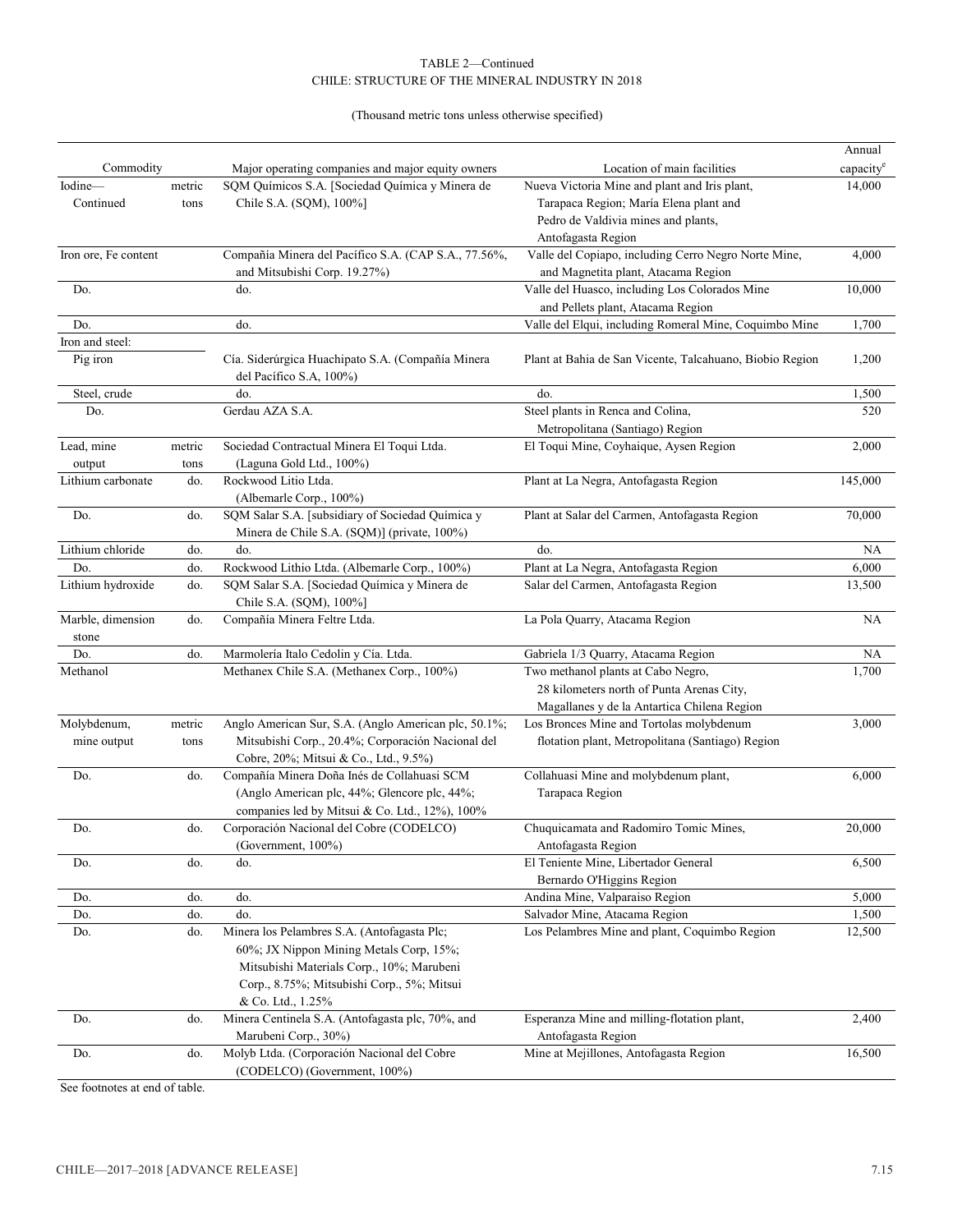#### TABLE 2—Continued CHILE: STRUCTURE OF THE MINERAL INDUSTRY IN 2018

(Thousand metric tons unless otherwise specified)

|                      |        |                                                                         |                                                          | Annual                |
|----------------------|--------|-------------------------------------------------------------------------|----------------------------------------------------------|-----------------------|
| Commodity            |        | Major operating companies and major equity owners                       | Location of main facilities                              | capacity <sup>e</sup> |
| Iodine-              | metric | SQM Químicos S.A. [Sociedad Química y Minera de                         | Nueva Victoria Mine and plant and Iris plant,            | 14,000                |
| Continued            | tons   | Chile S.A. (SQM), 100%]                                                 | Tarapaca Region; María Elena plant and                   |                       |
|                      |        |                                                                         | Pedro de Valdivia mines and plants,                      |                       |
|                      |        |                                                                         | Antofagasta Region                                       |                       |
| Iron ore, Fe content |        | Compañía Minera del Pacífico S.A. (CAP S.A., 77.56%,                    | Valle del Copiapo, including Cerro Negro Norte Mine,     | 4,000                 |
|                      |        | and Mitsubishi Corp. 19.27%)                                            | and Magnetita plant, Atacama Region                      |                       |
| Do.                  |        | do.                                                                     | Valle del Huasco, including Los Colorados Mine           | 10,000                |
|                      |        |                                                                         | and Pellets plant, Atacama Region                        |                       |
| Do.                  |        | do.                                                                     | Valle del Elqui, including Romeral Mine, Coquimbo Mine   | 1,700                 |
| Iron and steel:      |        |                                                                         |                                                          |                       |
| Pig iron             |        | Cía. Siderúrgica Huachipato S.A. (Compañía Minera                       | Plant at Bahia de San Vicente, Talcahuano, Biobio Region | 1,200                 |
|                      |        | del Pacífico S.A, 100%)                                                 |                                                          |                       |
| Steel, crude         |        | do.                                                                     | do.                                                      | 1,500                 |
| Do.                  |        | Gerdau AZA S.A.                                                         | Steel plants in Renca and Colina,                        | 520                   |
|                      |        |                                                                         | Metropolitana (Santiago) Region                          |                       |
| Lead, mine           | metric | Sociedad Contractual Minera El Toqui Ltda.                              | El Toqui Mine, Coyhaique, Aysen Region                   | 2,000                 |
| output               | tons   | (Laguna Gold Ltd., 100%)                                                |                                                          |                       |
| Lithium carbonate    | do.    | Rockwood Litio Ltda.                                                    | Plant at La Negra, Antofagasta Region                    | 145,000               |
|                      |        | (Albemarle Corp., 100%)                                                 |                                                          |                       |
| Do.                  | do.    | SQM Salar S.A. [subsidiary of Sociedad Química y                        | Plant at Salar del Carmen, Antofagasta Region            | 70,000                |
|                      |        | Minera de Chile S.A. (SQM)] (private, 100%)                             |                                                          |                       |
| Lithium chloride     | do.    | do.                                                                     | do.                                                      | NA                    |
| Do.                  | do.    | Rockwood Lithio Ltda. (Albemarle Corp., 100%)                           | Plant at La Negra, Antofagasta Region                    | 6,000                 |
|                      |        |                                                                         |                                                          |                       |
| Lithium hydroxide    | do.    | SQM Salar S.A. [Sociedad Química y Minera de<br>Chile S.A. (SQM), 100%] | Salar del Carmen, Antofagasta Region                     | 13,500                |
| Marble, dimension    | do.    | Compañía Minera Feltre Ltda.                                            | La Pola Quarry, Atacama Region                           | NA                    |
| stone                |        |                                                                         |                                                          |                       |
| Do.                  | do.    | Marmolería Italo Cedolin y Cía. Ltda.                                   | Gabriela 1/3 Quarry, Atacama Region                      | NA                    |
| Methanol             |        | Methanex Chile S.A. (Methanex Corp., 100%)                              | Two methanol plants at Cabo Negro,                       | 1,700                 |
|                      |        |                                                                         | 28 kilometers north of Punta Arenas City,                |                       |
|                      |        |                                                                         | Magallanes y de la Antartica Chilena Region              |                       |
| Molybdenum,          | metric | Anglo American Sur, S.A. (Anglo American plc, 50.1%;                    | Los Bronces Mine and Tortolas molybdenum                 | 3,000                 |
| mine output          | tons   | Mitsubishi Corp., 20.4%; Corporación Nacional del                       | flotation plant, Metropolitana (Santiago) Region         |                       |
|                      |        | Cobre, 20%; Mitsui & Co., Ltd., 9.5%)                                   |                                                          |                       |
| Do.                  | do.    | Compañía Minera Doña Inés de Collahuasi SCM                             | Collahuasi Mine and molybdenum plant,                    | 6,000                 |
|                      |        | (Anglo American plc, 44%; Glencore plc, 44%;                            | Tarapaca Region                                          |                       |
|                      |        | companies led by Mitsui & Co. Ltd., 12%), 100%                          |                                                          |                       |
| Do.                  | do.    | Corporación Nacional del Cobre (CODELCO)                                | Chuquicamata and Radomiro Tomic Mines,                   | 20,000                |
|                      |        | (Government, 100%)                                                      | Antofagasta Region                                       |                       |
| Do.                  | do.    | do.                                                                     | El Teniente Mine, Libertador General                     | 6,500                 |
|                      |        |                                                                         | Bernardo O'Higgins Region                                |                       |
| Do.                  | do.    | do.                                                                     | Andina Mine, Valparaiso Region                           | 5,000                 |
| Do.                  | do.    | do.                                                                     | Salvador Mine, Atacama Region                            | 1,500                 |
| Do.                  | do.    | Minera los Pelambres S.A. (Antofagasta Plc;                             | Los Pelambres Mine and plant, Coquimbo Region            | 12,500                |
|                      |        | 60%; JX Nippon Mining Metals Corp, 15%;                                 |                                                          |                       |
|                      |        | Mitsubishi Materials Corp., 10%; Marubeni                               |                                                          |                       |
|                      |        | Corp., 8.75%; Mitsubishi Corp., 5%; Mitsui                              |                                                          |                       |
|                      |        | & Co. Ltd., 1.25%                                                       |                                                          |                       |
| Do.                  | do.    | Minera Centinela S.A. (Antofagasta plc, 70%, and                        | Esperanza Mine and milling-flotation plant,              | 2,400                 |
|                      |        | Marubeni Corp., 30%)                                                    | Antofagasta Region                                       |                       |
| Do.                  | do.    | Molyb Ltda. (Corporación Nacional del Cobre                             | Mine at Mejillones, Antofagasta Region                   | 16,500                |
|                      |        | (CODELCO) (Government, 100%)                                            |                                                          |                       |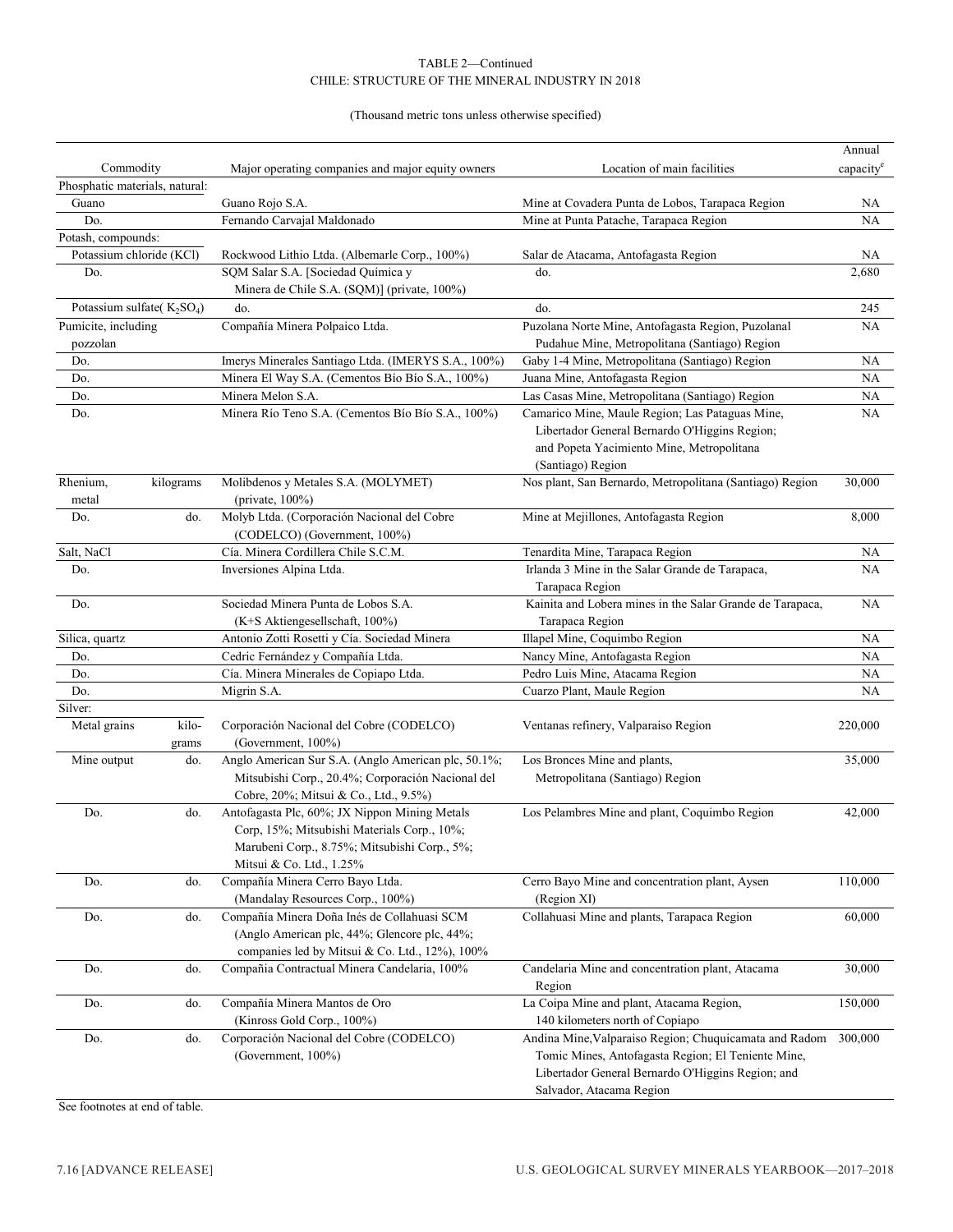#### TABLE 2—Continued CHILE: STRUCTURE OF THE MINERAL INDUSTRY IN 2018

#### (Thousand metric tons unless otherwise specified)

|                                |           |                                                     |                                                           | Annual                |
|--------------------------------|-----------|-----------------------------------------------------|-----------------------------------------------------------|-----------------------|
| Commodity                      |           | Major operating companies and major equity owners   | Location of main facilities                               | capacity <sup>e</sup> |
| Phosphatic materials, natural: |           |                                                     |                                                           |                       |
| Guano                          |           | Guano Rojo S.A.                                     | Mine at Covadera Punta de Lobos, Tarapaca Region          | NA                    |
| Do.                            |           | Fernando Carvajal Maldonado                         | Mine at Punta Patache, Tarapaca Region                    | <b>NA</b>             |
| Potash, compounds:             |           |                                                     |                                                           |                       |
| Potassium chloride (KCl)       |           | Rockwood Lithio Ltda. (Albemarle Corp., 100%)       | Salar de Atacama, Antofagasta Region                      | NA                    |
| Do.                            |           | SQM Salar S.A. [Sociedad Química y                  | do.                                                       | 2,680                 |
|                                |           | Minera de Chile S.A. (SQM)] (private, 100%)         |                                                           |                       |
| Potassium sulfate( $K_2SO_4$ ) |           | do.                                                 | do.                                                       | 245                   |
| Pumicite, including            |           | Compañía Minera Polpaico Ltda.                      | Puzolana Norte Mine, Antofagasta Region, Puzolanal        | NA                    |
| pozzolan                       |           |                                                     | Pudahue Mine, Metropolitana (Santiago) Region             |                       |
| Do.                            |           | Imerys Minerales Santiago Ltda. (IMERYS S.A., 100%) | Gaby 1-4 Mine, Metropolitana (Santiago) Region            | <b>NA</b>             |
| Do.                            |           | Minera El Way S.A. (Cementos Bío Bío S.A., 100%)    | Juana Mine, Antofagasta Region                            | NA                    |
| Do.                            |           | Minera Melon S.A.                                   | Las Casas Mine, Metropolitana (Santiago) Region           | NA.                   |
| Do.                            |           | Minera Río Teno S.A. (Cementos Bío Bío S.A., 100%)  | Camarico Mine, Maule Region; Las Pataguas Mine,           | NA                    |
|                                |           |                                                     | Libertador General Bernardo O'Higgins Region;             |                       |
|                                |           |                                                     | and Popeta Yacimiento Mine, Metropolitana                 |                       |
|                                |           |                                                     | (Santiago) Region                                         |                       |
| Rhenium,                       | kilograms | Molibdenos y Metales S.A. (MOLYMET)                 | Nos plant, San Bernardo, Metropolitana (Santiago) Region  | 30,000                |
| metal                          |           | (private, $100\%$ )                                 |                                                           |                       |
| Do.                            | do.       | Molyb Ltda. (Corporación Nacional del Cobre         | Mine at Mejillones, Antofagasta Region                    | 8,000                 |
|                                |           | (CODELCO) (Government, 100%)                        |                                                           |                       |
| Salt, NaCl                     |           | Cía. Minera Cordillera Chile S.C.M.                 | Tenardita Mine, Tarapaca Region                           | NA                    |
| Do.                            |           | Inversiones Alpina Ltda.                            | Irlanda 3 Mine in the Salar Grande de Tarapaca,           | <b>NA</b>             |
|                                |           |                                                     | Tarapaca Region                                           |                       |
| Do.                            |           | Sociedad Minera Punta de Lobos S.A.                 | Kainita and Lobera mines in the Salar Grande de Tarapaca, | <b>NA</b>             |
|                                |           | (K+S Aktiengesellschaft, 100%)                      | Tarapaca Region                                           |                       |
| Silica, quartz                 |           | Antonio Zotti Rosetti y Cía. Sociedad Minera        | Illapel Mine, Coquimbo Region                             | NA                    |
| Do.                            |           | Cedric Fernández y Compañía Ltda.                   | Nancy Mine, Antofagasta Region                            | NA                    |
| Do.                            |           | Cía. Minera Minerales de Copiapo Ltda.              | Pedro Luis Mine, Atacama Region                           | NA                    |
| Do.                            |           | Migrin S.A.                                         | Cuarzo Plant, Maule Region                                | NA                    |
| Silver:                        |           |                                                     |                                                           |                       |
| Metal grains                   | kilo-     | Corporación Nacional del Cobre (CODELCO)            | Ventanas refinery, Valparaiso Region                      | 220,000               |
|                                | grams     | (Government, 100%)                                  |                                                           |                       |
| Mine output                    | do.       | Anglo American Sur S.A. (Anglo American plc, 50.1%; | Los Bronces Mine and plants,                              | 35,000                |
|                                |           | Mitsubishi Corp., 20.4%; Corporación Nacional del   | Metropolitana (Santiago) Region                           |                       |
|                                |           | Cobre, 20%; Mitsui & Co., Ltd., 9.5%)               |                                                           |                       |
| Do.                            | do.       | Antofagasta Plc, 60%; JX Nippon Mining Metals       | Los Pelambres Mine and plant, Coquimbo Region             | 42,000                |
|                                |           | Corp, 15%; Mitsubishi Materials Corp., 10%;         |                                                           |                       |
|                                |           | Marubeni Corp., 8.75%; Mitsubishi Corp., 5%;        |                                                           |                       |
|                                |           | Mitsui & Co. Ltd., 1.25%                            |                                                           |                       |
| Do.                            | do.       | Compañía Minera Cerro Bayo Ltda.                    | Cerro Bayo Mine and concentration plant, Aysen            | 110,000               |
|                                |           | (Mandalay Resources Corp., 100%)                    | (Region XI)                                               |                       |
| Do.                            | do.       | Compañía Minera Doña Inés de Collahuasi SCM         | Collahuasi Mine and plants, Tarapaca Region               | 60,000                |
|                                |           | (Anglo American plc, 44%; Glencore plc, 44%;        |                                                           |                       |
|                                |           | companies led by Mitsui & Co. Ltd., 12%), 100%      |                                                           |                       |
| Do.                            | do.       | Compañia Contractual Minera Candelaria, 100%        | Candelaria Mine and concentration plant, Atacama          | 30,000                |
|                                |           |                                                     | Region                                                    |                       |
| Do.                            | do.       | Compañía Minera Mantos de Oro                       | La Coipa Mine and plant, Atacama Region,                  | 150,000               |
|                                |           | (Kinross Gold Corp., 100%)                          | 140 kilometers north of Copiapo                           |                       |
| Do.                            | do.       | Corporación Nacional del Cobre (CODELCO)            | Andina Mine, Valparaiso Region; Chuquicamata and Radom    | 300,000               |
|                                |           | (Government, 100%)                                  | Tomic Mines, Antofagasta Region; El Teniente Mine,        |                       |
|                                |           |                                                     | Libertador General Bernardo O'Higgins Region; and         |                       |
|                                |           |                                                     | Salvador, Atacama Region                                  |                       |
|                                |           |                                                     |                                                           |                       |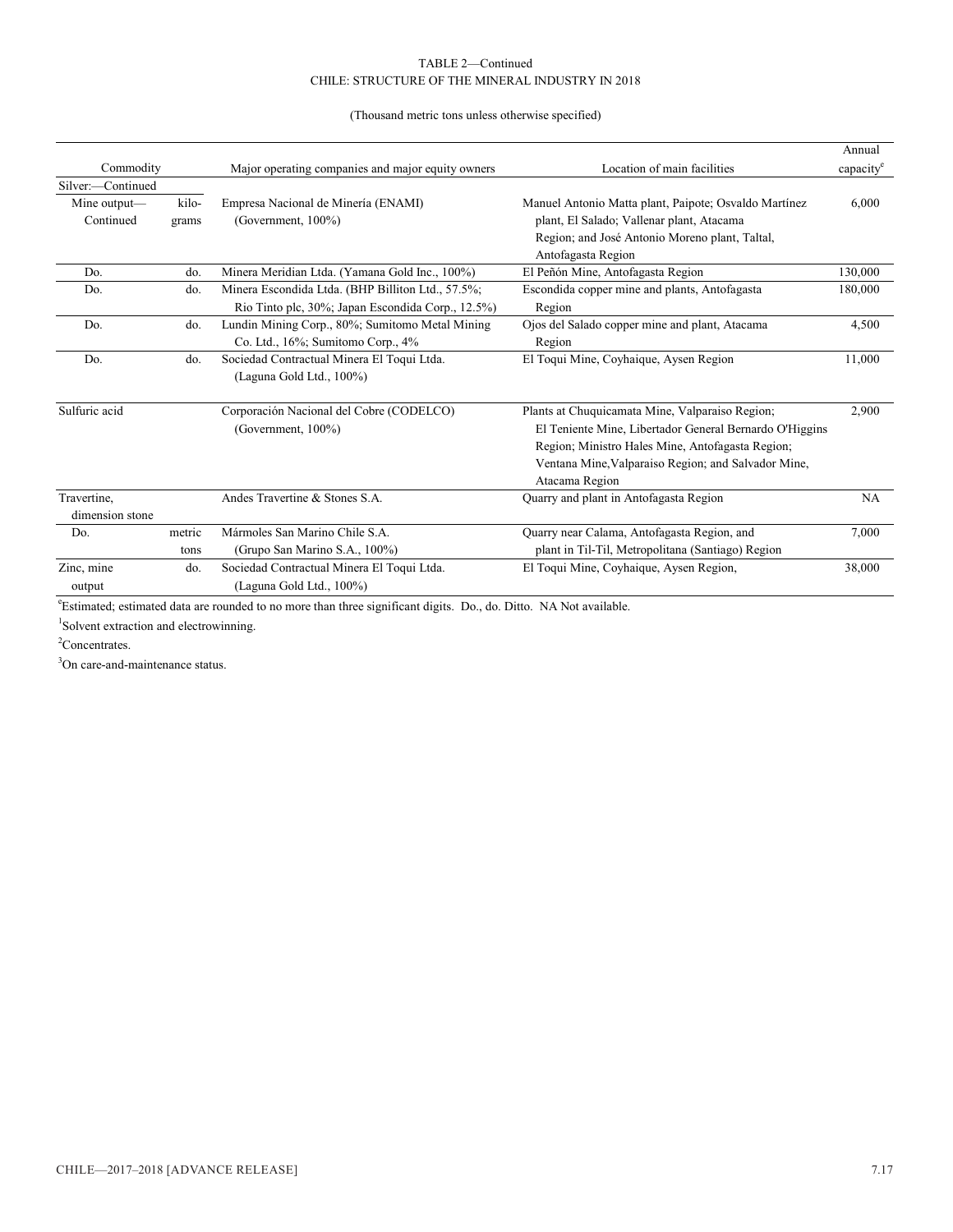#### CHILE: STRUCTURE OF THE MINERAL INDUSTRY IN 2018 TABLE 2—Continued

(Thousand metric tons unless otherwise specified)

|                   |        |                                                   |                                                         | Annual   |
|-------------------|--------|---------------------------------------------------|---------------------------------------------------------|----------|
| Commodity         |        | Major operating companies and major equity owners | Location of main facilities                             | capacity |
| Silver:-Continued |        |                                                   |                                                         |          |
| Mine output—      | kilo-  | Empresa Nacional de Minería (ENAMI)               | Manuel Antonio Matta plant, Paipote; Osvaldo Martínez   | 6,000    |
| Continued         | grams  | (Government, $100\%$ )                            | plant, El Salado; Vallenar plant, Atacama               |          |
|                   |        |                                                   | Region; and José Antonio Moreno plant, Taltal,          |          |
|                   |        |                                                   | Antofagasta Region                                      |          |
| Do.               | do.    | Minera Meridian Ltda. (Yamana Gold Inc., 100%)    | El Peñón Mine, Antofagasta Region                       | 130,000  |
| Do.               | do.    | Minera Escondida Ltda. (BHP Billiton Ltd., 57.5%; | Escondida copper mine and plants, Antofagasta           | 180,000  |
|                   |        | Rio Tinto plc, 30%; Japan Escondida Corp., 12.5%) | Region                                                  |          |
| Do.               | do.    | Lundin Mining Corp., 80%; Sumitomo Metal Mining   | Ojos del Salado copper mine and plant, Atacama          | 4,500    |
|                   |        | Co. Ltd., 16%; Sumitomo Corp., 4%                 | Region                                                  |          |
| Do.               | do.    | Sociedad Contractual Minera El Toqui Ltda.        | El Toqui Mine, Coyhaique, Aysen Region                  | 11,000   |
|                   |        | (Laguna Gold Ltd., 100%)                          |                                                         |          |
|                   |        |                                                   |                                                         |          |
| Sulfuric acid     |        | Corporación Nacional del Cobre (CODELCO)          | Plants at Chuquicamata Mine, Valparaiso Region;         | 2,900    |
|                   |        | (Government, 100%)                                | El Teniente Mine, Libertador General Bernardo O'Higgins |          |
|                   |        |                                                   | Region; Ministro Hales Mine, Antofagasta Region;        |          |
|                   |        |                                                   | Ventana Mine, Valparaiso Region; and Salvador Mine,     |          |
|                   |        |                                                   | Atacama Region                                          |          |
| Travertine,       |        | Andes Travertine & Stones S.A.                    | Quarry and plant in Antofagasta Region                  | NA       |
| dimension stone   |        |                                                   |                                                         |          |
| Do.               | metric | Mármoles San Marino Chile S.A.                    | Quarry near Calama, Antofagasta Region, and             | 7,000    |
|                   | tons   | (Grupo San Marino S.A., 100%)                     | plant in Til-Til, Metropolitana (Santiago) Region       |          |
| Zinc, mine        | do.    | Sociedad Contractual Minera El Toqui Ltda.        | El Toqui Mine, Coyhaique, Aysen Region,                 | 38,000   |
| output            |        | (Laguna Gold Ltd., 100%)                          |                                                         |          |

e Estimated; estimated data are rounded to no more than three significant digits. Do., do. Ditto. NA Not available.

1 Solvent extraction and electrowinning.

<sup>2</sup>Concentrates.

<sup>3</sup>On care-and-maintenance status.